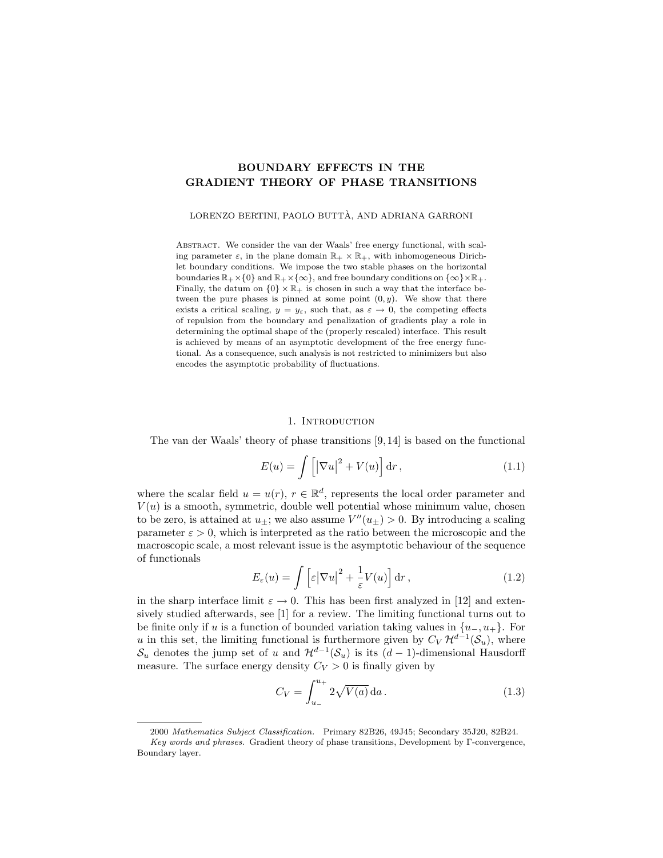# BOUNDARY EFFECTS IN THE GRADIENT THEORY OF PHASE TRANSITIONS

LORENZO BERTINI, PAOLO BUTTA, AND ADRIANA GARRONI `

ABSTRACT. We consider the van der Waals' free energy functional, with scaling parameter  $\varepsilon$ , in the plane domain  $\mathbb{R}_+ \times \mathbb{R}_+$ , with inhomogeneous Dirichlet boundary conditions. We impose the two stable phases on the horizontal boundaries  $\mathbb{R}_+ \times \{0\}$  and  $\mathbb{R}_+ \times \{\infty\}$ , and free boundary conditions on  $\{\infty\} \times \mathbb{R}_+$ . Finally, the datum on  $\{0\} \times \mathbb{R}_+$  is chosen in such a way that the interface between the pure phases is pinned at some point  $(0, y)$ . We show that there exists a critical scaling,  $y = y_{\varepsilon}$ , such that, as  $\varepsilon \to 0$ , the competing effects of repulsion from the boundary and penalization of gradients play a role in determining the optimal shape of the (properly rescaled) interface. This result is achieved by means of an asymptotic development of the free energy functional. As a consequence, such analysis is not restricted to minimizers but also encodes the asymptotic probability of fluctuations.

### 1. INTRODUCTION

The van der Waals' theory of phase transitions [9, 14] is based on the functional

$$
E(u) = \int \left[ \left| \nabla u \right|^2 + V(u) \right] \mathrm{d}r, \tag{1.1}
$$

where the scalar field  $u = u(r)$ ,  $r \in \mathbb{R}^d$ , represents the local order parameter and  $V(u)$  is a smooth, symmetric, double well potential whose minimum value, chosen to be zero, is attained at  $u_{\pm}$ ; we also assume  $V''(u_{\pm}) > 0$ . By introducing a scaling parameter  $\varepsilon > 0$ , which is interpreted as the ratio between the microscopic and the macroscopic scale, a most relevant issue is the asymptotic behaviour of the sequence of functionals

$$
E_{\varepsilon}(u) = \int \left[\varepsilon |\nabla u|^2 + \frac{1}{\varepsilon} V(u)\right] dr , \qquad (1.2)
$$

in the sharp interface limit  $\varepsilon \to 0$ . This has been first analyzed in [12] and extensively studied afterwards, see [1] for a review. The limiting functional turns out to be finite only if u is a function of bounded variation taking values in  $\{u_-, u_+\}$ . For u in this set, the limiting functional is furthermore given by  $C_V \mathcal{H}^{d-1}(\mathcal{S}_u)$ , where  $\mathcal{S}_u$  denotes the jump set of u and  $\mathcal{H}^{d-1}(\mathcal{S}_u)$  is its  $(d-1)$ -dimensional Hausdorff measure. The surface energy density  $C_V > 0$  is finally given by

$$
C_V = \int_{u_-}^{u_+} 2\sqrt{V(a)} \, da \,. \tag{1.3}
$$

<sup>2000</sup> Mathematics Subject Classification. Primary 82B26, 49J45; Secondary 35J20, 82B24.

Key words and phrases. Gradient theory of phase transitions, Development by Γ-convergence, Boundary layer.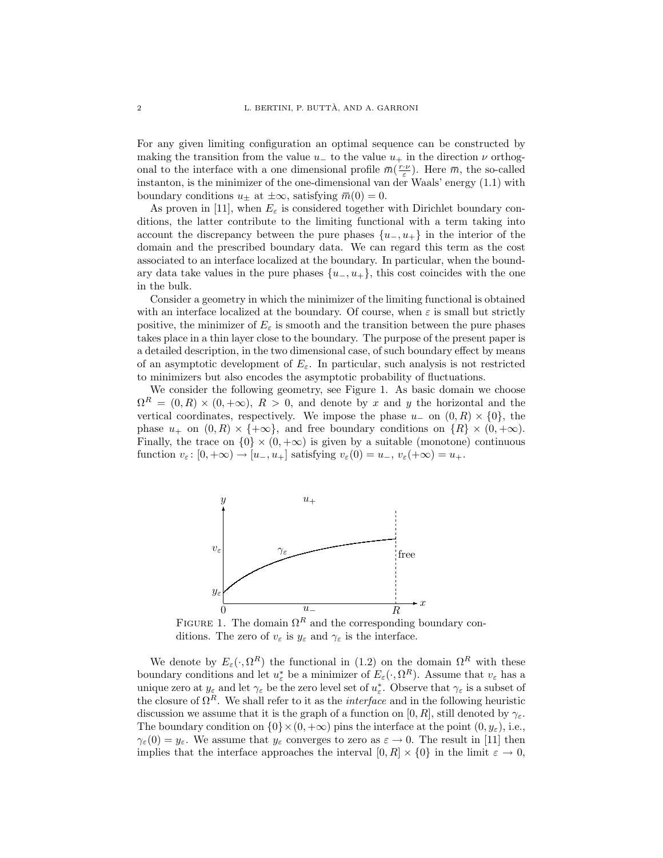For any given limiting configuration an optimal sequence can be constructed by making the transition from the value  $u_+$  to the value  $u_+$  in the direction  $\nu$  orthogonal to the interface with a one dimensional profile  $\bar{m}(\frac{r \cdot \nu}{\varepsilon})$ . Here  $\bar{m}$ , the so-called instanton, is the minimizer of the one-dimensional van der Waals' energy (1.1) with boundary conditions  $u_{\pm}$  at  $\pm \infty$ , satisfying  $\bar{m}(0) = 0$ .

As proven in [11], when  $E_{\varepsilon}$  is considered together with Dirichlet boundary conditions, the latter contribute to the limiting functional with a term taking into account the discrepancy between the pure phases  $\{u_-, u_+\}$  in the interior of the domain and the prescribed boundary data. We can regard this term as the cost associated to an interface localized at the boundary. In particular, when the boundary data take values in the pure phases  $\{u_-, u_+\}$ , this cost coincides with the one in the bulk.

Consider a geometry in which the minimizer of the limiting functional is obtained with an interface localized at the boundary. Of course, when  $\varepsilon$  is small but strictly positive, the minimizer of  $E_{\varepsilon}$  is smooth and the transition between the pure phases takes place in a thin layer close to the boundary. The purpose of the present paper is a detailed description, in the two dimensional case, of such boundary effect by means of an asymptotic development of  $E_{\varepsilon}$ . In particular, such analysis is not restricted to minimizers but also encodes the asymptotic probability of fluctuations.

We consider the following geometry, see Figure 1. As basic domain we choose  $\Omega^R = (0, R) \times (0, +\infty), R > 0$ , and denote by x and y the horizontal and the vertical coordinates, respectively. We impose the phase  $u_-\,$  on  $(0, R) \times \{0\}$ , the phase  $u_+$  on  $(0, R) \times \{+\infty\}$ , and free boundary conditions on  $\{R\} \times (0, +\infty)$ . Finally, the trace on  $\{0\} \times (0, +\infty)$  is given by a suitable (monotone) continuous function  $v_{\varepsilon}$ :  $[0, +\infty) \rightarrow [u_-, u_+]$  satisfying  $v_{\varepsilon}(0) = u_-, v_{\varepsilon}(+\infty) = u_+.$ 



FIGURE 1. The domain  $\Omega^R$  and the corresponding boundary conditions. The zero of  $v_{\varepsilon}$  is  $y_{\varepsilon}$  and  $\gamma_{\varepsilon}$  is the interface.

We denote by  $E_{\varepsilon}(\cdot, \Omega^R)$  the functional in (1.2) on the domain  $\Omega^R$  with these boundary conditions and let  $u_{\varepsilon}^*$  be a minimizer of  $E_{\varepsilon}(\cdot, \Omega^R)$ . Assume that  $v_{\varepsilon}$  has a unique zero at  $y_\varepsilon$  and let  $\gamma_\varepsilon$  be the zero level set of  $u_\varepsilon^*$ . Observe that  $\gamma_\varepsilon$  is a subset of the closure of  $\Omega^R$ . We shall refer to it as the *interface* and in the following heuristic discussion we assume that it is the graph of a function on [0, R], still denoted by  $\gamma_{\varepsilon}$ . The boundary condition on  $\{0\} \times (0, +\infty)$  pins the interface at the point  $(0, y_{\varepsilon})$ , i.e.,  $\gamma_{\varepsilon}(0) = y_{\varepsilon}$ . We assume that  $y_{\varepsilon}$  converges to zero as  $\varepsilon \to 0$ . The result in [11] then implies that the interface approaches the interval  $[0, R] \times \{0\}$  in the limit  $\varepsilon \to 0$ ,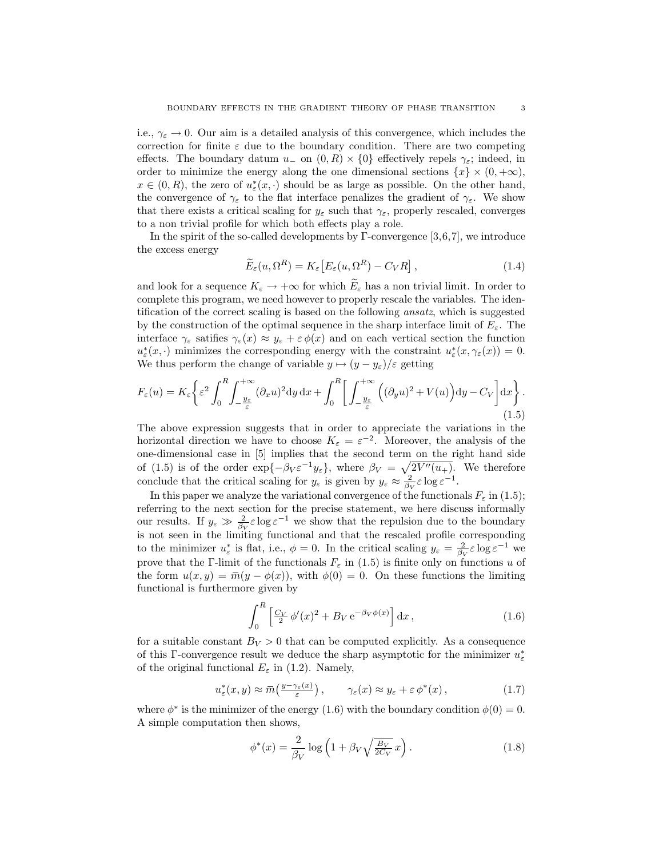i.e.,  $\gamma_{\varepsilon} \to 0$ . Our aim is a detailed analysis of this convergence, which includes the correction for finite  $\varepsilon$  due to the boundary condition. There are two competing effects. The boundary datum  $u_-\,$  on  $(0, R) \times \{0\}$  effectively repels  $\gamma_{\varepsilon}$ ; indeed, in order to minimize the energy along the one dimensional sections  $\{x\} \times (0, +\infty)$ ,  $x \in (0, R)$ , the zero of  $u^*_{\varepsilon}(x, \cdot)$  should be as large as possible. On the other hand, the convergence of  $\gamma_{\varepsilon}$  to the flat interface penalizes the gradient of  $\gamma_{\varepsilon}$ . We show that there exists a critical scaling for  $y_{\varepsilon}$  such that  $\gamma_{\varepsilon}$ , properly rescaled, converges to a non trivial profile for which both effects play a role.

In the spirit of the so-called developments by  $\Gamma$ -convergence [3,6,7], we introduce the excess energy

$$
\widetilde{E}_{\varepsilon}(u,\Omega^R) = K_{\varepsilon}\left[E_{\varepsilon}(u,\Omega^R) - C_V R\right],\tag{1.4}
$$

and look for a sequence  $K_{\varepsilon} \to +\infty$  for which  $\widetilde{E}_{\varepsilon}$  has a non trivial limit. In order to complete this program, we need however to properly rescale the variables. The identification of the correct scaling is based on the following ansatz, which is suggested by the construction of the optimal sequence in the sharp interface limit of  $E_{\varepsilon}$ . The interface  $\gamma_{\varepsilon}$  satifies  $\gamma_{\varepsilon}(x) \approx y_{\varepsilon} + \varepsilon \phi(x)$  and on each vertical section the function  $u_{\varepsilon}^*(x, \cdot)$  minimizes the corresponding energy with the constraint  $u_{\varepsilon}^*(x, \gamma_{\varepsilon}(x)) = 0$ . We thus perform the change of variable  $y \mapsto (y - y_{\varepsilon})/\varepsilon$  getting

$$
F_{\varepsilon}(u) = K_{\varepsilon} \left\{ \varepsilon^2 \int_0^R \int_{-\frac{y_{\varepsilon}}{\varepsilon}}^{+\infty} (\partial_x u)^2 \mathrm{d}y \, \mathrm{d}x + \int_0^R \left[ \int_{-\frac{y_{\varepsilon}}{\varepsilon}}^{+\infty} \left( (\partial_y u)^2 + V(u) \right) \mathrm{d}y - C_V \right] \mathrm{d}x \right\}.
$$
\n(1.5)

The above expression suggests that in order to appreciate the variations in the horizontal direction we have to choose  $K_{\varepsilon} = \varepsilon^{-2}$ . Moreover, the analysis of the one-dimensional case in [5] implies that the second term on the right hand side of (1.5) is of the order  $\exp{-\beta_V \varepsilon^{-1} y_\varepsilon}$ , where  $\beta_V = \sqrt{2V''(u_+)}$ . We therefore conclude that the critical scaling for  $y_{\varepsilon}$  is given by  $y_{\varepsilon} \approx \frac{2}{\beta_V} \varepsilon \log \varepsilon^{-1}$ .

In this paper we analyze the variational convergence of the functionals  $F_{\varepsilon}$  in (1.5); referring to the next section for the precise statement, we here discuss informally our results. If  $y_{\varepsilon} \gg \frac{2}{\beta V} \varepsilon \log \varepsilon^{-1}$  we show that the repulsion due to the boundary is not seen in the limiting functional and that the rescaled profile corresponding to the minimizer  $u_{\varepsilon}^*$  is flat, i.e.,  $\phi = 0$ . In the critical scaling  $y_{\varepsilon} = \frac{2}{\beta_V} \varepsilon \log \varepsilon^{-1}$  we prove that the Γ-limit of the functionals  $F_{\varepsilon}$  in (1.5) is finite only on functions u of the form  $u(x, y) = \overline{m}(y - \phi(x))$ , with  $\phi(0) = 0$ . On these functions the limiting functional is furthermore given by

$$
\int_0^R \left[ \frac{C_V}{2} \phi'(x)^2 + B_V e^{-\beta_V \phi(x)} \right] dx, \tag{1.6}
$$

for a suitable constant  $B_V > 0$  that can be computed explicitly. As a consequence of this Γ-convergence result we deduce the sharp asymptotic for the minimizer  $u_{\varepsilon}^*$ of the original functional  $E_{\varepsilon}$  in (1.2). Namely,

$$
u_{\varepsilon}^{*}(x, y) \approx \bar{m}\left(\frac{y - \gamma_{\varepsilon}(x)}{\varepsilon}\right), \qquad \gamma_{\varepsilon}(x) \approx y_{\varepsilon} + \varepsilon \phi^{*}(x), \tag{1.7}
$$

where  $\phi^*$  is the minimizer of the energy (1.6) with the boundary condition  $\phi(0) = 0$ . A simple computation then shows,

$$
\phi^*(x) = \frac{2}{\beta_V} \log \left( 1 + \beta_V \sqrt{\frac{B_V}{2C_V}} x \right). \tag{1.8}
$$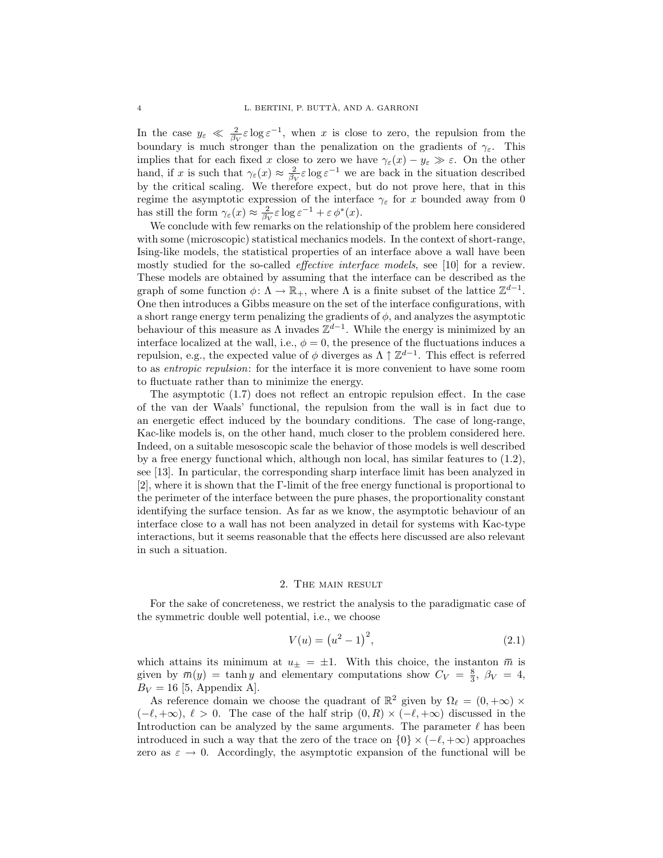In the case  $y_{\varepsilon} \ll \frac{2}{\beta_V} \varepsilon \log \varepsilon^{-1}$ , when x is close to zero, the repulsion from the boundary is much stronger than the penalization on the gradients of  $\gamma_{\varepsilon}$ . This implies that for each fixed x close to zero we have  $\gamma_{\varepsilon}(x) - y_{\varepsilon} \gg \varepsilon$ . On the other hand, if x is such that  $\gamma_{\varepsilon}(x) \approx \frac{2}{\beta_V} \varepsilon \log \varepsilon^{-1}$  we are back in the situation described by the critical scaling. We therefore expect, but do not prove here, that in this regime the asymptotic expression of the interface  $\gamma_{\varepsilon}$  for x bounded away from 0 has still the form  $\gamma_{\varepsilon}(x) \approx \frac{2}{\beta_V} \varepsilon \log \varepsilon^{-1} + \varepsilon \phi^*(x)$ .

We conclude with few remarks on the relationship of the problem here considered with some (microscopic) statistical mechanics models. In the context of short-range, Ising-like models, the statistical properties of an interface above a wall have been mostly studied for the so-called *effective interface models*, see [10] for a review. These models are obtained by assuming that the interface can be described as the graph of some function  $\phi \colon \Lambda \to \mathbb{R}_+$ , where  $\Lambda$  is a finite subset of the lattice  $\mathbb{Z}^{d-1}$ . One then introduces a Gibbs measure on the set of the interface configurations, with a short range energy term penalizing the gradients of  $\phi$ , and analyzes the asymptotic behaviour of this measure as  $\Lambda$  invades  $\mathbb{Z}^{d-1}$ . While the energy is minimized by an interface localized at the wall, i.e.,  $\phi = 0$ , the presence of the fluctuations induces a repulsion, e.g., the expected value of  $\phi$  diverges as  $\Lambda \uparrow \mathbb{Z}^{d-1}$ . This effect is referred to as entropic repulsion: for the interface it is more convenient to have some room to fluctuate rather than to minimize the energy.

The asymptotic (1.7) does not reflect an entropic repulsion effect. In the case of the van der Waals' functional, the repulsion from the wall is in fact due to an energetic effect induced by the boundary conditions. The case of long-range, Kac-like models is, on the other hand, much closer to the problem considered here. Indeed, on a suitable mesoscopic scale the behavior of those models is well described by a free energy functional which, although non local, has similar features to (1.2), see [13]. In particular, the corresponding sharp interface limit has been analyzed in [2], where it is shown that the Γ-limit of the free energy functional is proportional to the perimeter of the interface between the pure phases, the proportionality constant identifying the surface tension. As far as we know, the asymptotic behaviour of an interface close to a wall has not been analyzed in detail for systems with Kac-type interactions, but it seems reasonable that the effects here discussed are also relevant in such a situation.

### 2. The main result

For the sake of concreteness, we restrict the analysis to the paradigmatic case of the symmetric double well potential, i.e., we choose

$$
V(u) = (u^2 - 1)^2,
$$
\n(2.1)

which attains its minimum at  $u_{\pm} = \pm 1$ . With this choice, the instanton  $\bar{m}$  is given by  $\bar{m}(y) = \tanh y$  and elementary computations show  $C_V = \frac{8}{3}$ ,  $\beta_V = 4$ ,  $B_V = 16$  [5, Appendix A].

As reference domain we choose the quadrant of  $\mathbb{R}^2$  given by  $\Omega_\ell = (0, +\infty) \times$  $(-\ell, +\infty)$ ,  $\ell > 0$ . The case of the half strip  $(0, R) \times (-\ell, +\infty)$  discussed in the Introduction can be analyzed by the same arguments. The parameter  $\ell$  has been introduced in such a way that the zero of the trace on  $\{0\} \times (-\ell, +\infty)$  approaches zero as  $\varepsilon \to 0$ . Accordingly, the asymptotic expansion of the functional will be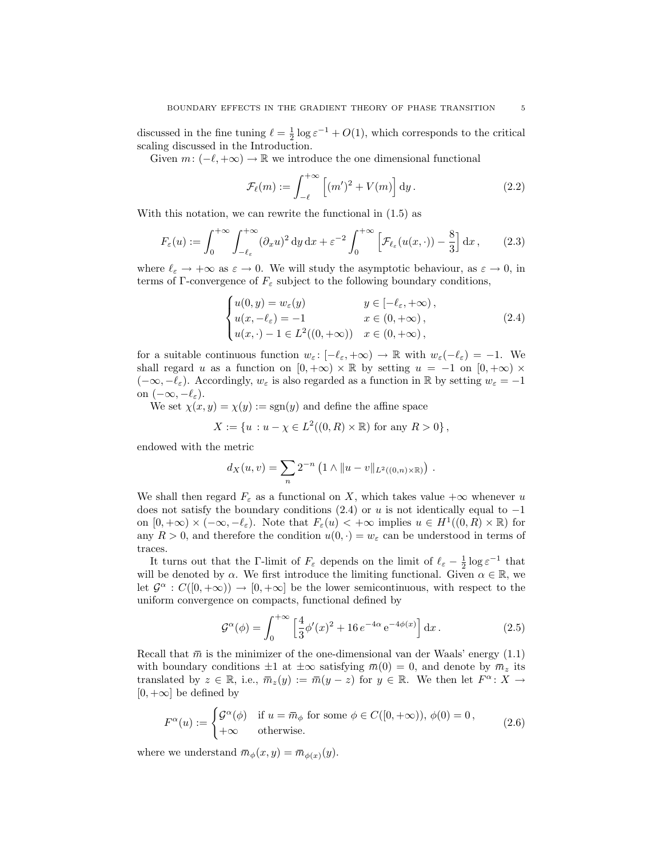discussed in the fine tuning  $\ell = \frac{1}{2} \log \varepsilon^{-1} + O(1)$ , which corresponds to the critical scaling discussed in the Introduction.

Given  $m: (-\ell, +\infty) \to \mathbb{R}$  we introduce the one dimensional functional

$$
\mathcal{F}_{\ell}(m) := \int_{-\ell}^{+\infty} \left[ (m')^2 + V(m) \right] dy.
$$
 (2.2)

With this notation, we can rewrite the functional in (1.5) as

$$
F_{\varepsilon}(u) := \int_0^{+\infty} \int_{-\ell_{\varepsilon}}^{+\infty} (\partial_x u)^2 \, \mathrm{d}y \, \mathrm{d}x + \varepsilon^{-2} \int_0^{+\infty} \left[ \mathcal{F}_{\ell_{\varepsilon}}(u(x, \cdot)) - \frac{8}{3} \right] \mathrm{d}x \,, \tag{2.3}
$$

where  $\ell_{\varepsilon} \to +\infty$  as  $\varepsilon \to 0$ . We will study the asymptotic behaviour, as  $\varepsilon \to 0$ , in terms of Γ-convergence of  $F_{\varepsilon}$  subject to the following boundary conditions,

$$
\begin{cases}\nu(0, y) = w_{\varepsilon}(y) & y \in [-\ell_{\varepsilon}, +\infty), \\
u(x, -\ell_{\varepsilon}) = -1 & x \in (0, +\infty), \\
u(x, \cdot) - 1 \in L^{2}((0, +\infty)) & x \in (0, +\infty),\n\end{cases}
$$
\n(2.4)

for a suitable continuous function  $w_{\varepsilon} : [-\ell_{\varepsilon}, +\infty) \to \mathbb{R}$  with  $w_{\varepsilon}(-\ell_{\varepsilon}) = -1$ . We shall regard u as a function on  $[0, +\infty) \times \mathbb{R}$  by setting  $u = -1$  on  $[0, +\infty) \times$  $(-\infty, -\ell_{\varepsilon})$ . Accordingly,  $w_{\varepsilon}$  is also regarded as a function in R by setting  $w_{\varepsilon} = -1$ on  $(-\infty, -\ell_{\varepsilon}).$ 

We set  $\chi(x, y) = \chi(y) := \text{sgn}(y)$  and define the affine space

$$
X := \{ u : u - \chi \in L^2((0, R) \times \mathbb{R}) \text{ for any } R > 0 \},
$$

endowed with the metric

$$
d_X(u,v) = \sum_{n} 2^{-n} (1 \wedge ||u - v||_{L^2((0,n) \times \mathbb{R})}) \ .
$$

We shall then regard  $F_{\varepsilon}$  as a functional on X, which takes value  $+\infty$  whenever u does not satisfy the boundary conditions  $(2.4)$  or u is not identically equal to  $-1$ on  $[0, +\infty) \times (-\infty, -\ell_{\varepsilon})$ . Note that  $F_{\varepsilon}(u) < +\infty$  implies  $u \in H^1((0, R) \times \mathbb{R})$  for any  $R > 0$ , and therefore the condition  $u(0, \cdot) = w_{\varepsilon}$  can be understood in terms of traces.

It turns out that the Γ-limit of  $F_{\varepsilon}$  depends on the limit of  $\ell_{\varepsilon} - \frac{1}{2} \log \varepsilon^{-1}$  that will be denoted by  $\alpha$ . We first introduce the limiting functional. Given  $\alpha \in \mathbb{R}$ , we let  $\mathcal{G}^{\alpha}: C([0,+\infty)) \to [0,+\infty]$  be the lower semicontinuous, with respect to the uniform convergence on compacts, functional defined by

$$
\mathcal{G}^{\alpha}(\phi) = \int_0^{+\infty} \left[ \frac{4}{3} \phi'(x)^2 + 16 e^{-4\alpha} e^{-4\phi(x)} \right] dx.
$$
 (2.5)

Recall that  $\bar{m}$  is the minimizer of the one-dimensional van der Waals' energy (1.1) with boundary conditions  $\pm 1$  at  $\pm \infty$  satisfying  $\bar{m}(0) = 0$ , and denote by  $\bar{m}_z$  its translated by  $z \in \mathbb{R}$ , i.e.,  $\overline{m}_z(y) := \overline{m}(y - z)$  for  $y \in \mathbb{R}$ . We then let  $F^{\alpha} \colon X \to Y$  $[0, +\infty]$  be defined by

$$
F^{\alpha}(u) := \begin{cases} \mathcal{G}^{\alpha}(\phi) & \text{if } u = \overline{m}_{\phi} \text{ for some } \phi \in C([0, +\infty)), \ \phi(0) = 0, \\ +\infty & \text{otherwise.} \end{cases}
$$
 (2.6)

where we understand  $\bar{m}_{\phi}(x, y) = \bar{m}_{\phi(x)}(y)$ .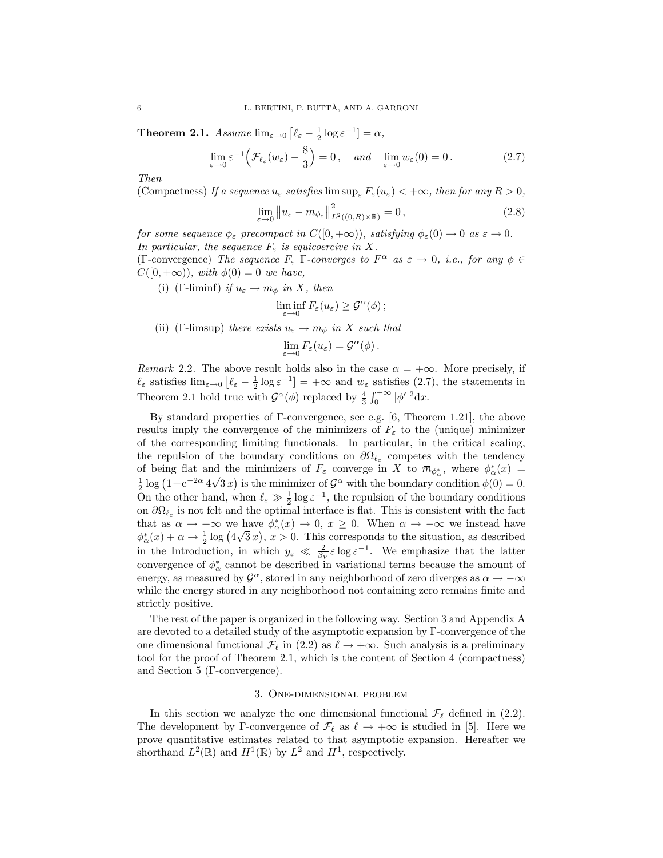**Theorem 2.1.** Assume  $\lim_{\varepsilon \to 0} \left[ \ell_{\varepsilon} - \frac{1}{2} \log \varepsilon^{-1} \right] = \alpha$ ,

$$
\lim_{\varepsilon \to 0} \varepsilon^{-1} \Big( \mathcal{F}_{\ell_{\varepsilon}}(w_{\varepsilon}) - \frac{8}{3} \Big) = 0, \quad \text{and} \quad \lim_{\varepsilon \to 0} w_{\varepsilon}(0) = 0. \tag{2.7}
$$

Then

(Compactness) If a sequence  $u_{\varepsilon}$  satisfies lim sup<sub> $\varepsilon$ </sub>  $F_{\varepsilon}(u_{\varepsilon}) < +\infty$ , then for any  $R > 0$ ,

$$
\lim_{\varepsilon \to 0} \|u_{\varepsilon} - \overline{m}_{\phi_{\varepsilon}}\|_{L^2((0,R) \times \mathbb{R})}^2 = 0, \tag{2.8}
$$

for some sequence  $\phi_{\varepsilon}$  precompact in  $C([0,+\infty)),$  satisfying  $\phi_{\varepsilon}(0) \to 0$  as  $\varepsilon \to 0$ . In particular, the sequence  $F_{\varepsilon}$  is equicoercive in X.

(Γ-convergence) The sequence  $F_{\varepsilon}$  Γ-converges to  $F^{\alpha}$  as  $\varepsilon \to 0$ , i.e., for any  $\phi \in$  $C([0, +\infty)),$  with  $\phi(0) = 0$  we have,

(i) (Γ-liminf) if  $u_{\varepsilon} \to \bar{m}_{\phi}$  in X, then

$$
\liminf_{\varepsilon \to 0} F_{\varepsilon}(u_{\varepsilon}) \geq \mathcal{G}^{\alpha}(\phi);
$$

(ii) (Γ-limsup) there exists  $u_{\varepsilon} \to \bar{m}_{\phi}$  in X such that

$$
\lim_{\varepsilon \to 0} F_{\varepsilon}(u_{\varepsilon}) = \mathcal{G}^{\alpha}(\phi).
$$

Remark 2.2. The above result holds also in the case  $\alpha = +\infty$ . More precisely, if  $\ell_{\varepsilon}$  satisfies  $\lim_{\varepsilon\to 0}$   $\left[\ell_{\varepsilon}-\frac{1}{2}\log \varepsilon^{-1}\right]=+\infty$  and  $w_{\varepsilon}$  satisfies (2.7), the statements in Theorem 2.1 hold true with  $\mathcal{G}^{\alpha}(\phi)$  replaced by  $\frac{4}{3} \int_{0}^{+\infty} |\phi'|^{2} dx$ .

By standard properties of Γ-convergence, see e.g. [6, Theorem 1.21], the above results imply the convergence of the minimizers of  $F_{\varepsilon}$  to the (unique) minimizer of the corresponding limiting functionals. In particular, in the critical scaling, the repulsion of the boundary conditions on  $\partial\Omega_{\ell_{\varepsilon}}$  competes with the tendency of being flat and the minimizers of  $F_{\varepsilon}$  converge in X to  $\overline{m}_{\phi_{\alpha}^*}$ , where  $\phi_{\alpha}^*(x) =$  $\frac{1}{2}$  log  $(1+e^{-2\alpha} 4\sqrt{3} x)$  is the minimizer of  $\mathcal{G}^{\alpha}$  with the boundary condition  $\phi(0) = 0$ . On the other hand, when  $\ell_{\varepsilon} \gg \frac{1}{2} \log \varepsilon^{-1}$ , the repulsion of the boundary conditions on  $\partial\Omega_{\ell_{\varepsilon}}$  is not felt and the optimal interface is flat. This is consistent with the fact that as  $\alpha \to +\infty$  we have  $\phi_{\alpha}^*(x) \to 0$ ,  $x \geq 0$ . When  $\alpha \to -\infty$  we instead have  $\phi_{\alpha}^*(x) + \alpha \to \frac{1}{2} \log (4\sqrt{3} x), x > 0$ . This corresponds to the situation, as described in the Introduction, in which  $y_{\varepsilon} \ll \frac{2}{\beta_V} \varepsilon \log \varepsilon^{-1}$ . We emphasize that the latter convergence of  $\phi_{\alpha}^*$  cannot be described in variational terms because the amount of energy, as measured by  $\mathcal{G}^{\alpha}$ , stored in any neighborhood of zero diverges as  $\alpha \to -\infty$ while the energy stored in any neighborhood not containing zero remains finite and strictly positive.

The rest of the paper is organized in the following way. Section 3 and Appendix A are devoted to a detailed study of the asymptotic expansion by Γ-convergence of the one dimensional functional  $\mathcal{F}_{\ell}$  in (2.2) as  $\ell \to +\infty$ . Such analysis is a preliminary tool for the proof of Theorem 2.1, which is the content of Section 4 (compactness) and Section 5 (Γ-convergence).

### 3. One-dimensional problem

In this section we analyze the one dimensional functional  $\mathcal{F}_{\ell}$  defined in (2.2). The development by Γ-convergence of  $\mathcal{F}_{\ell}$  as  $\ell \to +\infty$  is studied in [5]. Here we prove quantitative estimates related to that asymptotic expansion. Hereafter we shorthand  $L^2(\mathbb{R})$  and  $H^1(\mathbb{R})$  by  $L^2$  and  $H^1$ , respectively.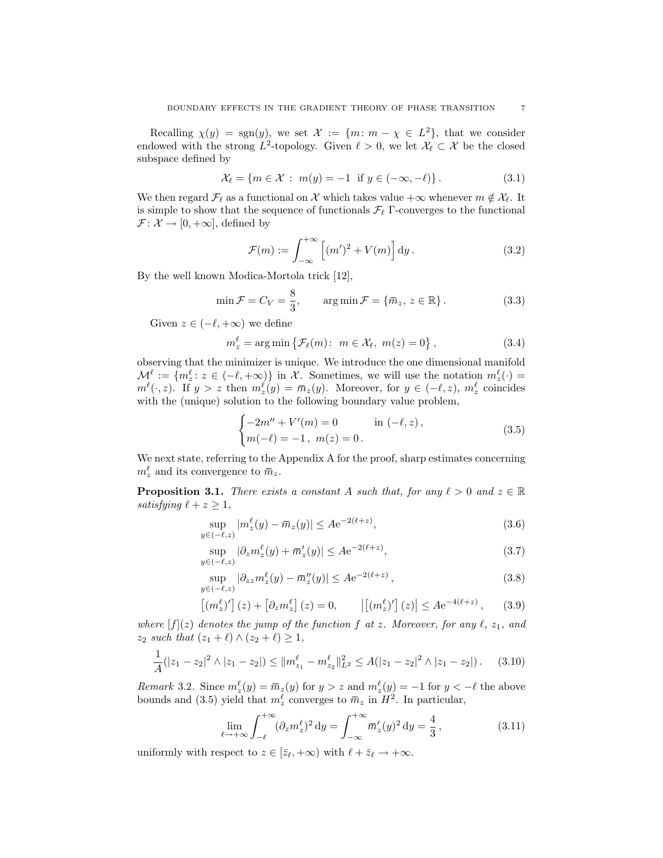Recalling  $\chi(y) = \text{sgn}(y)$ , we set  $\mathcal{X} := \{m : m - \chi \in L^2\}$ , that we consider endowed with the strong  $L^2$ -topology. Given  $\ell > 0$ , we let  $\mathcal{X}_\ell \subset \mathcal{X}$  be the closed subspace defined by

$$
\mathcal{X}_{\ell} = \{ m \in \mathcal{X} : m(y) = -1 \text{ if } y \in (-\infty, -\ell) \}.
$$
\n
$$
(3.1)
$$

We then regard  $\mathcal{F}_\ell$  as a functional on X which takes value + $\infty$  whenever  $m \notin \mathcal{X}_\ell$ . It is simple to show that the sequence of functionals  $\mathcal{F}_{\ell}$  Γ-converges to the functional  $\mathcal{F} \colon \mathcal{X} \to [0, +\infty]$ , defined by

$$
\mathcal{F}(m) := \int_{-\infty}^{+\infty} \left[ (m')^2 + V(m) \right] dy.
$$
 (3.2)

By the well known Modica-Mortola trick [12],

$$
\min \mathcal{F} = C_V = \frac{8}{3}, \qquad \arg \min \mathcal{F} = \{ \bar{m}_z, \ z \in \mathbb{R} \}. \tag{3.3}
$$

Given  $z \in (-\ell, +\infty)$  we define

$$
m_z^{\ell} = \arg\min\left\{\mathcal{F}_{\ell}(m): \ m \in \mathcal{X}_{\ell}, \ m(z) = 0\right\},\tag{3.4}
$$

observing that the minimizer is unique. We introduce the one dimensional manifold  $\mathcal{M}^{\ell} := \{m_z^{\ell} : z \in (-\ell, +\infty)\}\$ in X. Sometimes, we will use the notation  $m_z^{\ell}(\cdot) =$  $m^{\ell}(\cdot, z)$ . If  $y > z$  then  $m_z^{\ell}(y) = \overline{m}_z(y)$ . Moreover, for  $y \in (-\ell, z)$ ,  $m_z^{\ell}$  coincides with the (unique) solution to the following boundary value problem,

$$
\begin{cases}\n-2m'' + V'(m) = 0 & \text{in } (-\ell, z), \\
m(-\ell) = -1, \ m(z) = 0.\n\end{cases}
$$
\n(3.5)

We next state, referring to the Appendix A for the proof, sharp estimates concerning  $m_z^{\ell}$  and its convergence to  $\bar{m}_z$ .

**Proposition 3.1.** There exists a constant A such that, for any  $\ell > 0$  and  $z \in \mathbb{R}$ satisfying  $\ell + z \geq 1$ ,

$$
\sup_{y \in (-\ell, z)} |m_z^{\ell}(y) - \bar{m}_z(y)| \le A e^{-2(\ell + z)},
$$
\n(3.6)

$$
\sup_{y \in (-\ell, z)} |\partial_z m_z^{\ell}(y) + \bar{m}_z'(y)| \le A e^{-2(\ell + z)},
$$
\n(3.7)

$$
\sup_{y \in (-\ell, z)} |\partial_{zz} m_z^{\ell}(y) - \overline{m}_z''(y)| \le A e^{-2(\ell + z)}, \tag{3.8}
$$

$$
\left[ \left( m_z^{\ell} \right)' \right](z) + \left[ \partial_z m_z^{\ell} \right](z) = 0, \qquad \left| \left[ \left( m_z^{\ell} \right)' \right](z) \right| \leq A e^{-4(\ell+z)}, \qquad (3.9)
$$

where  $[f](z)$  denotes the jump of the function f at z. Moreover, for any  $\ell$ ,  $z_1$ , and  $z_2$  such that  $(z_1 + \ell) \wedge (z_2 + \ell) \geq 1$ ,

$$
\frac{1}{A}(|z_1 - z_2|^2 \wedge |z_1 - z_2|) \le ||m_{z_1}^{\ell} - m_{z_2}^{\ell}||_{L^2}^2 \le A(|z_1 - z_2|^2 \wedge |z_1 - z_2|). \tag{3.10}
$$

*Remark* 3.2. Since  $m_z^{\ell}(y) = \overline{m}_z(y)$  for  $y > z$  and  $m_z^{\ell}(y) = -1$  for  $y < -\ell$  the above bounds and (3.5) yield that  $m_z^{\ell}$  converges to  $\bar{m}_z$  in  $H^2$ . In particular,

$$
\lim_{\ell \to +\infty} \int_{-\ell}^{+\infty} (\partial_z m_z^{\ell})^2 dy = \int_{-\infty}^{+\infty} \overline{m}_z'(y)^2 dy = \frac{4}{3},
$$
\n(3.11)

uniformly with respect to  $z \in [\bar{z}_{\ell}, +\infty)$  with  $\ell + \bar{z}_{\ell} \to +\infty$ .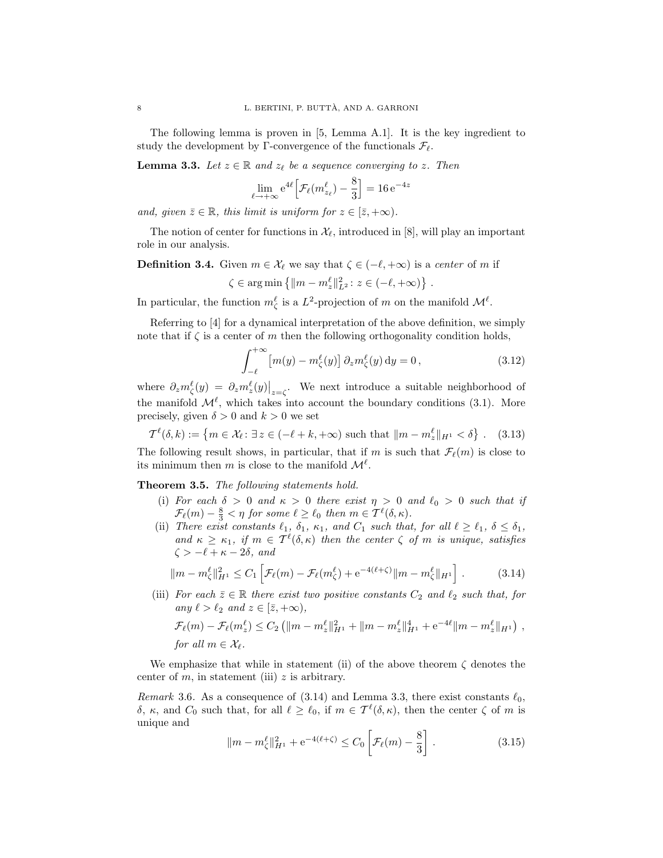The following lemma is proven in [5, Lemma A.1]. It is the key ingredient to study the development by Γ-convergence of the functionals  $\mathcal{F}_{\ell}$ .

**Lemma 3.3.** Let  $z \in \mathbb{R}$  and  $z_{\ell}$  be a sequence converging to z. Then

$$
\lim_{\ell \to +\infty} e^{4\ell} \Big[ \mathcal{F}_{\ell}(m_{z_{\ell}}^{\ell}) - \frac{8}{3} \Big] = 16 e^{-4z}
$$

and, given  $\bar{z} \in \mathbb{R}$ , this limit is uniform for  $z \in [\bar{z}, +\infty)$ .

The notion of center for functions in  $\mathcal{X}_{\ell}$ , introduced in [8], will play an important role in our analysis.

**Definition 3.4.** Given  $m \in \mathcal{X}_{\ell}$  we say that  $\zeta \in (-\ell, +\infty)$  is a center of m if

$$
\zeta \in \arg\min\left\{ ||m - m_z^{\ell}||_{L^2}^2 : z \in (-\ell, +\infty) \right\}
$$

In particular, the function  $m_\zeta$  is a  $L^2$ -projection of m on the manifold  $\mathcal{M}^\ell$ .

Referring to [4] for a dynamical interpretation of the above definition, we simply note that if  $\zeta$  is a center of m then the following orthogonality condition holds,

$$
\int_{-\ell}^{+\infty} \left[ m(y) - m_{\zeta}^{\ell}(y) \right] \partial_z m_{\zeta}^{\ell}(y) \, dy = 0, \tag{3.12}
$$

.

where  $\partial_z m_\zeta(\zeta(y)) = \partial_z m_z(\zeta(y))|_{z=\zeta}$ . We next introduce a suitable neighborhood of the manifold  $\mathcal{M}^{\ell}$ , which takes into account the boundary conditions (3.1). More precisely, given  $\delta > 0$  and  $k > 0$  we set

$$
\mathcal{T}^{\ell}(\delta, k) := \left\{ m \in \mathcal{X}_{\ell} \colon \exists z \in (-\ell + k, +\infty) \text{ such that } \|m - m_{z}^{\ell}\|_{H^{1}} < \delta \right\}. \tag{3.13}
$$

The following result shows, in particular, that if m is such that  $\mathcal{F}_{\ell}(m)$  is close to its minimum then m is close to the manifold  $\mathcal{M}^{\ell}$ .

Theorem 3.5. The following statements hold.

- (i) For each  $\delta > 0$  and  $\kappa > 0$  there exist  $\eta > 0$  and  $\ell_0 > 0$  such that if  $\mathcal{F}_{\ell}(m) - \frac{8}{3} < \eta$  for some  $\ell \geq \ell_0$  then  $m \in \mathcal{T}^{\ell}(\delta, \kappa)$ .
- (ii) There exist constants  $\ell_1$ ,  $\delta_1$ ,  $\kappa_1$ , and  $C_1$  such that, for all  $\ell \ge \ell_1$ ,  $\delta \le \delta_1$ , and  $\kappa \geq \kappa_1$ , if  $m \in \mathcal{T}^{\ell}(\delta, \kappa)$  then the center  $\zeta$  of m is unique, satisfies  $\zeta > -\ell + \kappa - 2\delta$ , and

$$
||m - m_{\zeta}^{\ell}||_{H^{1}}^{2} \leq C_{1} \left[ \mathcal{F}_{\ell}(m) - \mathcal{F}_{\ell}(m_{\zeta}^{\ell}) + e^{-4(\ell + \zeta)} ||m - m_{\zeta}^{\ell}||_{H^{1}} \right]. \tag{3.14}
$$

(iii) For each  $\bar{z} \in \mathbb{R}$  there exist two positive constants  $C_2$  and  $\ell_2$  such that, for any  $\ell > \ell_2$  and  $z \in [\bar{z}, +\infty)$ ,

$$
\mathcal{F}_{\ell}(m) - \mathcal{F}_{\ell}(m_{z}^{\ell}) \leq C_{2} \left( \|m - m_{z}^{\ell}\|_{H^{1}}^{2} + \|m - m_{z}^{\ell}\|_{H^{1}}^{4} + e^{-4\ell} \|m - m_{z}^{\ell}\|_{H^{1}} \right),
$$
  
for all  $m \in \mathcal{X}_{\ell}$ .

We emphasize that while in statement (ii) of the above theorem  $\zeta$  denotes the center of  $m$ , in statement (iii)  $z$  is arbitrary.

Remark 3.6. As a consequence of (3.14) and Lemma 3.3, there exist constants  $\ell_0$ , δ, κ, and  $C_0$  such that, for all  $\ell \geq \ell_0$ , if  $m \in \mathcal{T}^{\ell}(\delta, \kappa)$ , then the center  $\zeta$  of m is unique and

$$
||m - m_{\zeta}^{\ell}||_{H^{1}}^{2} + e^{-4(\ell + \zeta)} \leq C_{0} \left[ \mathcal{F}_{\ell}(m) - \frac{8}{3} \right]. \tag{3.15}
$$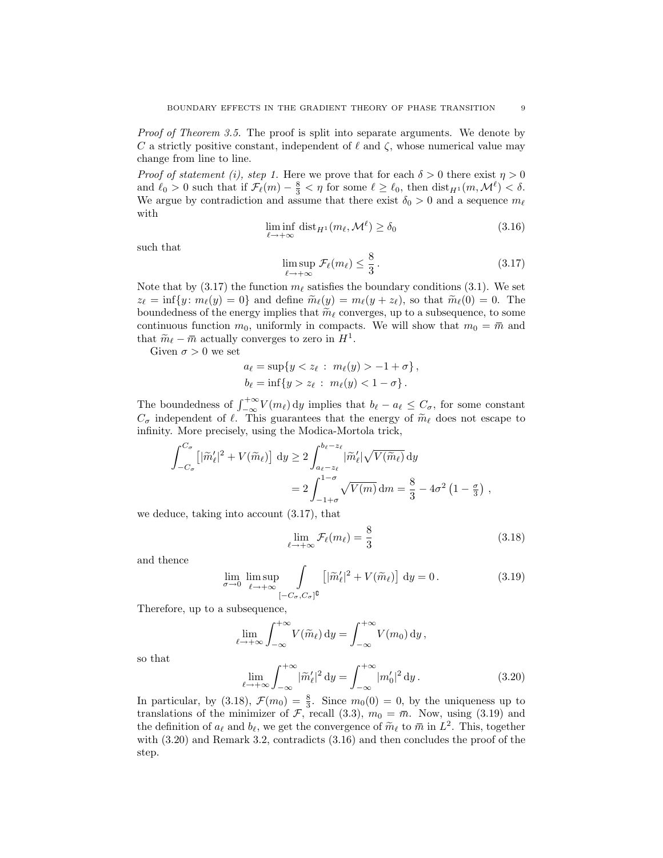Proof of Theorem 3.5. The proof is split into separate arguments. We denote by C a strictly positive constant, independent of  $\ell$  and  $\zeta$ , whose numerical value may change from line to line.

*Proof of statement (i), step 1.* Here we prove that for each  $\delta > 0$  there exist  $\eta > 0$ and  $\ell_0 > 0$  such that if  $\mathcal{F}_{\ell}(m) - \frac{8}{3} < \eta$  for some  $\ell \ge \ell_0$ , then  $\text{dist}_{H^1}(m, \mathcal{M}^{\ell}) < \delta$ . We argue by contradiction and assume that there exist  $\delta_0 > 0$  and a sequence  $m_\ell$ with

$$
\liminf_{\ell \to +\infty} \text{dist}_{H^1}(m_\ell, \mathcal{M}^\ell) \ge \delta_0 \tag{3.16}
$$

such that

$$
\limsup_{\ell \to +\infty} \mathcal{F}_{\ell}(m_{\ell}) \le \frac{8}{3}.
$$
\n(3.17)

Note that by (3.17) the function  $m_\ell$  satisfies the boundary conditions (3.1). We set  $z_{\ell} = \inf\{y : m_{\ell}(y) = 0\}$  and define  $\widetilde{m}_{\ell}(y) = m_{\ell}(y + z_{\ell}),$  so that  $\widetilde{m}_{\ell}(0) = 0$ . The boundedness of the energy implies that  $\widetilde{m}_{\ell}$  converges, up to a subsequence, to some continuous function  $m_0$ , uniformly in compacts. We will show that  $m_0 = \bar{m}$  and that  $\widetilde{m}_{\ell} - \overline{m}$  actually converges to zero in  $H^1$ .<br>Civen  $\tau > 0$  we set

Given  $\sigma > 0$  we set

$$
a_{\ell} = \sup \{ y < z_{\ell} : m_{\ell}(y) > -1 + \sigma \},
$$
\n
$$
b_{\ell} = \inf \{ y > z_{\ell} : m_{\ell}(y) < 1 - \sigma \}.
$$

The boundedness of  $\int_{-\infty}^{+\infty} V(m_{\ell}) dy$  implies that  $b_{\ell} - a_{\ell} \leq C_{\sigma}$ , for some constant  $C_{\sigma}$  independent of  $\ell$ . This guarantees that the energy of  $\widetilde{m}_{\ell}$  does not escape to infinity. More precisely, using the Modica-Mortola trick,

$$
\int_{-C_{\sigma}}^{C_{\sigma}} \left[ |\widetilde{m}'_{\ell}|^2 + V(\widetilde{m}_{\ell}) \right] dy \ge 2 \int_{a_{\ell} - z_{\ell}}^{b_{\ell} - z_{\ell}} |\widetilde{m}'_{\ell}| \sqrt{V(\widetilde{m}_{\ell})} dy
$$
  
= 
$$
2 \int_{-1+\sigma}^{1-\sigma} \sqrt{V(m)} dm = \frac{8}{3} - 4\sigma^2 \left(1 - \frac{\sigma}{3}\right),
$$

we deduce, taking into account (3.17), that

$$
\lim_{\ell \to +\infty} \mathcal{F}_{\ell}(m_{\ell}) = \frac{8}{3} \tag{3.18}
$$

and thence

$$
\lim_{\sigma \to 0} \limsup_{\ell \to +\infty} \int_{[-C_{\sigma}, C_{\sigma}]^{\complement}} \left[ |\widetilde{m}'_{\ell}|^2 + V(\widetilde{m}_{\ell}) \right] dy = 0. \tag{3.19}
$$

Therefore, up to a subsequence,

$$
\lim_{\ell \to +\infty} \int_{-\infty}^{+\infty} V(\widetilde{m}_{\ell}) \, \mathrm{d}y = \int_{-\infty}^{+\infty} V(m_0) \, \mathrm{d}y,
$$

so that

$$
\lim_{\ell \to +\infty} \int_{-\infty}^{+\infty} |\widetilde{m}'_{\ell}|^2 dy = \int_{-\infty}^{+\infty} |m'_0|^2 dy. \tag{3.20}
$$

In particular, by (3.18),  $\mathcal{F}(m_0) = \frac{8}{3}$ . Since  $m_0(0) = 0$ , by the uniqueness up to translations of the minimizer of F, recall (3.3),  $m_0 = \bar{m}$ . Now, using (3.19) and the definition of  $a_\ell$  and  $b_\ell$ , we get the convergence of  $\tilde{m}_\ell$  to  $\bar{m}$  in  $L^2$ . This, together with (3.20) and Remark 3.2, contradicts (3.16) and then concludes the proof of the step.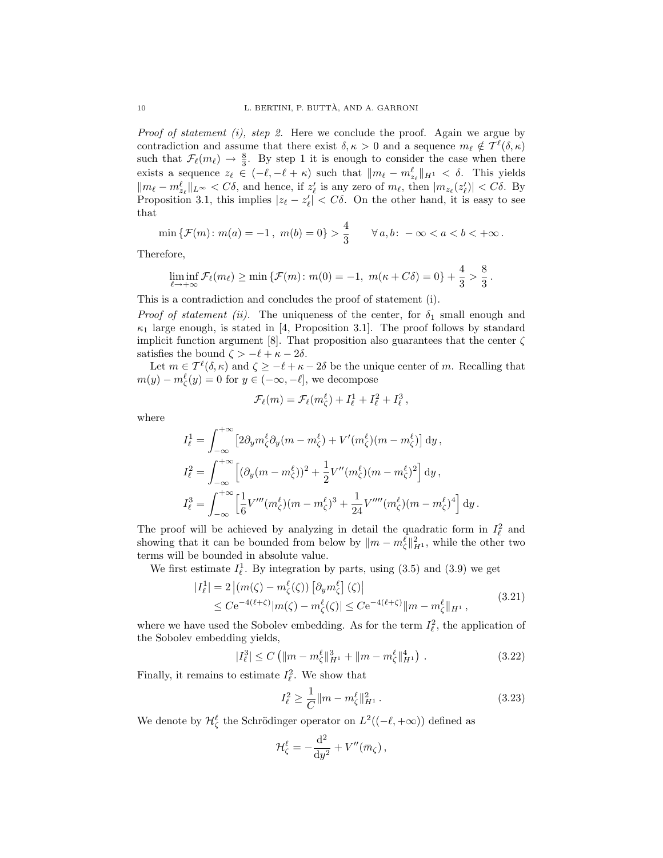*Proof of statement (i), step 2.* Here we conclude the proof. Again we argue by contradiction and assume that there exist  $\delta, \kappa > 0$  and a sequence  $m_{\ell} \notin \mathcal{T}^{\ell}(\delta, \kappa)$ such that  $\mathcal{F}_{\ell}(m_{\ell}) \to \frac{8}{3}$ . By step 1 it is enough to consider the case when there exists a sequence  $z_{\ell} \in (-\ell, -\ell + \kappa)$  such that  $||m_{\ell} - m^{\ell}_{z_{\ell}}||_{H^1} < \delta$ . This yields  $\|m_{\ell} - m_{z_{\ell}}^{\ell}\|_{L^{\infty}} < C\delta$ , and hence, if  $z_{\ell}$  is any zero of  $m_{\ell}$ , then  $|m_{z_{\ell}}(z_{\ell}')| < C\delta$ . By Proposition 3.1, this implies  $|z_{\ell} - z'_{\ell}| < C\delta$ . On the other hand, it is easy to see that

$$
\min \{ \mathcal{F}(m) \colon m(a) = -1 \, , \, m(b) = 0 \} > \frac{4}{3} \qquad \forall \, a, b \colon -\infty < a < b < +\infty \, .
$$

Therefore,

$$
\liminf_{\ell \to +\infty} \mathcal{F}_{\ell}(m_{\ell}) \ge \min \left\{ \mathcal{F}(m) \colon m(0) = -1, \ m(\kappa + C\delta) = 0 \right\} + \frac{4}{3} > \frac{8}{3}.
$$

This is a contradiction and concludes the proof of statement (i).

*Proof of statement (ii).* The uniqueness of the center, for  $\delta_1$  small enough and  $\kappa_1$  large enough, is stated in [4, Proposition 3.1]. The proof follows by standard implicit function argument [8]. That proposition also guarantees that the center  $\zeta$ satisfies the bound  $\zeta > -\ell + \kappa - 2\delta$ .

Let  $m \in \mathcal{T}^{\ell}(\delta, \kappa)$  and  $\zeta \geq -\ell + \kappa - 2\delta$  be the unique center of m. Recalling that  $m(y) - m_{\zeta}^{\ell}(y) = 0$  for  $y \in (-\infty, -\ell]$ , we decompose

$$
\mathcal{F}_{\ell}(m) = \mathcal{F}_{\ell}(m_{\zeta}^{\ell}) + I_{\ell}^1 + I_{\ell}^2 + I_{\ell}^3,
$$

where

$$
\begin{split} I_{\ell}^1 &= \int_{-\infty}^{+\infty} \left[ 2 \partial_y m_{\zeta}^{\ell} \partial_y (m - m_{\zeta}^{\ell}) + V'(m_{\zeta}^{\ell}) (m - m_{\zeta}^{\ell}) \right] \mathrm{d}y \,, \\ I_{\ell}^2 &= \int_{-\infty}^{+\infty} \left[ (\partial_y (m - m_{\zeta}^{\ell}))^2 + \frac{1}{2} V''(m_{\zeta}^{\ell}) (m - m_{\zeta}^{\ell})^2 \right] \mathrm{d}y \,, \\ I_{\ell}^3 &= \int_{-\infty}^{+\infty} \left[ \frac{1}{6} V'''(m_{\zeta}^{\ell}) (m - m_{\zeta}^{\ell})^3 + \frac{1}{24} V''''(m_{\zeta}^{\ell}) (m - m_{\zeta}^{\ell})^4 \right] \mathrm{d}y \,. \end{split}
$$

The proof will be achieved by analyzing in detail the quadratic form in  $I_{\ell}^2$  and showing that it can be bounded from below by  $\|m - m_{\zeta}^{\ell}\|_{H^1}^2$ , while the other two terms will be bounded in absolute value.

We first estimate  $I_{\ell}^1$ . By integration by parts, using (3.5) and (3.9) we get

$$
|I_{\ell}^{1}| = 2 |(m(\zeta) - m_{\zeta}^{\ell}(\zeta)) \left[ \partial_{y} m_{\zeta}^{\ell} \right](\zeta) |
$$
  
 
$$
\leq C e^{-4(\ell + \zeta)} |m(\zeta) - m_{\zeta}^{\ell}(\zeta)| \leq C e^{-4(\ell + \zeta)} ||m - m_{\zeta}^{\ell}||_{H^{1}}, \qquad (3.21)
$$

where we have used the Sobolev embedding. As for the term  $I_{\ell}^2$ , the application of the Sobolev embedding yields,

$$
|I_{\ell}^{3}| \le C \left( \|m - m_{\zeta}^{\ell}\|_{H^{1}}^{3} + \|m - m_{\zeta}^{\ell}\|_{H^{1}}^{4} \right). \tag{3.22}
$$

Finally, it remains to estimate  $I_{\ell}^2$ . We show that

$$
I_{\ell}^2 \ge \frac{1}{C} \|m - m_{\zeta}^{\ell}\|_{H^1}^2.
$$
 (3.23)

We denote by  $\mathcal{H}_{\zeta}^{\ell}$  the Schrödinger operator on  $L^2((-\ell, +\infty))$  defined as

$$
\mathcal{H}^{\ell}_{\zeta} = -\frac{\mathrm{d}^2}{\mathrm{d}y^2} + V''(\bar{m}_{\zeta})\,,
$$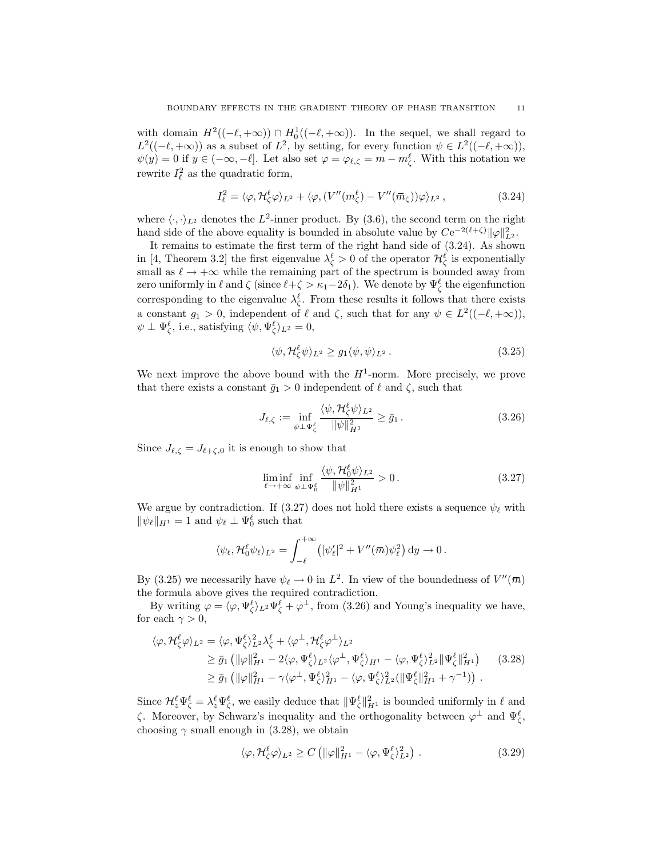with domain  $H^2((-\ell, +\infty)) \cap H_0^1((-\ell, +\infty))$ . In the sequel, we shall regard to  $L^2((-\ell, +\infty))$  as a subset of  $L^2$ , by setting, for every function  $\psi \in L^2((-\ell, +\infty))$ ,  $\psi(y) = 0$  if  $y \in (-\infty, -\ell]$ . Let also set  $\varphi = \varphi_{\ell,\zeta} = m - m_{\zeta}^{\ell}$ . With this notation we rewrite  $I_{\ell}^2$  as the quadratic form,

$$
I_{\ell}^2 = \langle \varphi, \mathcal{H}_{\zeta}^{\ell} \varphi \rangle_{L^2} + \langle \varphi, (V''(m_{\zeta}^{\ell}) - V''(\bar{m}_{\zeta})) \varphi \rangle_{L^2}, \qquad (3.24)
$$

where  $\langle \cdot, \cdot \rangle_{L^2}$  denotes the  $L^2$ -inner product. By (3.6), the second term on the right hand side of the above equality is bounded in absolute value by  $C e^{-2(\ell+\zeta)} \|\varphi\|_{L^2}^2$ .

It remains to estimate the first term of the right hand side of (3.24). As shown in [4, Theorem 3.2] the first eigenvalue  $\lambda_{\zeta}^{\ell} > 0$  of the operator  $\mathcal{H}_{\zeta}^{\ell}$  is exponentially small as  $\ell \to +\infty$  while the remaining part of the spectrum is bounded away from zero uniformly in  $\ell$  and  $\zeta$  (since  $\ell + \zeta > \kappa_1 - 2\delta_1$ ). We denote by  $\Psi_{\zeta}^{\ell}$  the eigenfunction corresponding to the eigenvalue  $\lambda_{\zeta}^{\ell}$ . From these results it follows that there exists a constant  $g_1 > 0$ , independent of  $\ell$  and  $\zeta$ , such that for any  $\psi \in L^2((-\ell, +\infty))$ ,  $\psi \perp \Psi_{\zeta}^{\ell}$ , i.e., satisfying  $\langle \psi, \Psi_{\zeta}^{\ell} \rangle_{L^2} = 0$ ,

$$
\langle \psi, \mathcal{H}_{\zeta}^{\ell} \psi \rangle_{L^2} \ge g_1 \langle \psi, \psi \rangle_{L^2} . \tag{3.25}
$$

We next improve the above bound with the  $H^1$ -norm. More precisely, we prove that there exists a constant  $\bar{g}_1 > 0$  independent of  $\ell$  and  $\zeta$ , such that

$$
J_{\ell,\zeta} := \inf_{\psi \perp \Psi_{\zeta}^{\ell}} \frac{\langle \psi, \mathcal{H}_{\zeta}^{\ell} \psi \rangle_{L^2}}{\|\psi\|_{H^1}^2} \ge \bar{g}_1. \tag{3.26}
$$

Since  $J_{\ell,\zeta} = J_{\ell+\zeta,0}$  it is enough to show that

$$
\liminf_{\ell \to +\infty} \inf_{\psi \perp \Psi_0^{\ell}} \frac{\langle \psi, \mathcal{H}_0^{\ell} \psi \rangle_{L^2}}{\|\psi\|_{H^1}^2} > 0. \tag{3.27}
$$

We argue by contradiction. If (3.27) does not hold there exists a sequence  $\psi_{\ell}$  with  $\|\psi_\ell\|_{H^1} = 1$  and  $\psi_\ell \perp \Psi_0^\ell$  such that

$$
\langle \psi_{\ell}, \mathcal{H}_0^{\ell} \psi_{\ell} \rangle_{L^2} = \int_{-\ell}^{+\infty} \left( |\psi_{\ell}'|^2 + V''(\bar{m}) \psi_{\ell}^2 \right) dy \to 0.
$$

By (3.25) we necessarily have  $\psi_{\ell} \to 0$  in  $L^2$ . In view of the boundedness of  $V''(\bar{m})$ the formula above gives the required contradiction.

By writing  $\varphi = \langle \varphi, \Psi_{\zeta}^{\ell} \rangle_{L^2} \Psi_{\zeta}^{\ell} + \varphi^{\perp}$ , from (3.26) and Young's inequality we have, for each  $\gamma > 0$ ,

$$
\langle \varphi, \mathcal{H}_{\zeta}^{\ell} \varphi \rangle_{L^{2}} = \langle \varphi, \Psi_{\zeta}^{\ell} \rangle_{L^{2}}^{2} \lambda_{\zeta}^{\ell} + \langle \varphi^{\perp}, \mathcal{H}_{\zeta}^{\ell} \varphi^{\perp} \rangle_{L^{2}}
$$
  
\n
$$
\geq \bar{g}_{1} \left( \|\varphi\|_{H^{1}}^{2} - 2 \langle \varphi, \Psi_{\zeta}^{\ell} \rangle_{L^{2}} \langle \varphi^{\perp}, \Psi_{\zeta}^{\ell} \rangle_{H^{1}} - \langle \varphi, \Psi_{\zeta}^{\ell} \rangle_{L^{2}}^{2} \|\Psi_{\zeta}^{\ell}\|_{H^{1}}^{2} \right) \qquad (3.28)
$$
  
\n
$$
\geq \bar{g}_{1} \left( \|\varphi\|_{H^{1}}^{2} - \gamma \langle \varphi^{\perp}, \Psi_{\zeta}^{\ell} \rangle_{H^{1}}^{2} - \langle \varphi, \Psi_{\zeta}^{\ell} \rangle_{L^{2}}^{2} \left( \|\Psi_{\zeta}^{\ell}\|_{H^{1}}^{2} + \gamma^{-1} \right) \right) .
$$

Since  $\mathcal{H}_z^{\ell} \Psi_{\zeta}^{\ell} = \lambda_z^{\ell} \Psi_{\zeta}^{\ell}$ , we easily deduce that  $\|\Psi_{\zeta}^{\ell}\|_{H^1}^2$  is bounded uniformly in  $\ell$  and  $\zeta$ . Moreover, by Schwarz's inequality and the orthogonality between  $\varphi^{\perp}$  and  $\Psi_{\zeta}^{\ell}$ , choosing  $\gamma$  small enough in (3.28), we obtain

$$
\langle \varphi, \mathcal{H}_{\zeta}^{\ell} \varphi \rangle_{L^2} \ge C \left( \|\varphi\|_{H^1}^2 - \langle \varphi, \Psi_{\zeta}^{\ell} \rangle_{L^2}^2 \right). \tag{3.29}
$$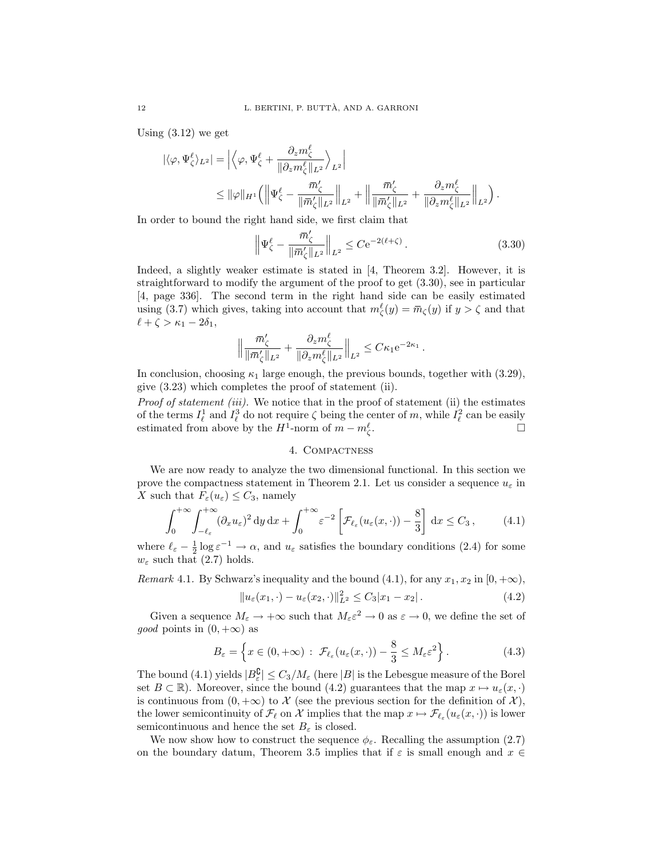Using (3.12) we get

$$
\begin{split} \vert \langle \varphi, \Psi^{\ell}_{\zeta} \rangle_{L^{2}} \vert &= \left\vert \left\langle \varphi, \Psi^{\ell}_{\zeta} + \frac{\partial_{z} m^{\ell}_{\zeta}}{\Vert \partial_{z} m^{\ell}_{\zeta} \Vert_{L^{2}}} \right\rangle_{L^{2}} \right\vert \\ & \leq \Vert \varphi \Vert_{H^{1}} \Big( \Big\Vert \Psi^{\ell}_{\zeta} - \frac{\overline{m}_{\zeta}'}{\Vert \overline{m}_{\zeta}^{\prime} \Vert_{L^{2}}} \Big\Vert_{L^{2}} + \Big\Vert \frac{\overline{m}_{\zeta}^{\prime}}{\Vert \overline{m}_{\zeta}^{\prime} \Vert_{L^{2}}} + \frac{\partial_{z} m^{\ell}_{\zeta}}{\Vert \partial_{z} m^{\ell}_{\zeta} \Vert_{L^{2}}} \Big\Vert_{L^{2}} \Big). \end{split}
$$

In order to bound the right hand side, we first claim that

$$
\left\| \Psi_{\zeta}^{\ell} - \frac{\bar{m}_{\zeta}^{\prime}}{\|\bar{m}_{\zeta}^{\prime}\|_{L^{2}}} \right\|_{L^{2}} \leq C e^{-2(\ell + \zeta)}.
$$
\n(3.30)

Indeed, a slightly weaker estimate is stated in [4, Theorem 3.2]. However, it is straightforward to modify the argument of the proof to get (3.30), see in particular [4, page 336]. The second term in the right hand side can be easily estimated using (3.7) which gives, taking into account that  $m_{\zeta}^{\ell}(y) = \bar{m}_{\zeta}(y)$  if  $y > \zeta$  and that  $\ell + \zeta > \kappa_1 - 2\delta_1,$ 

$$
\Big\|\frac{\bar m'_\zeta}{\|\bar m'_\zeta\|_{L^2}}+\frac{\partial_z m_\zeta^\ell}{\|\partial_z m_\zeta^\ell\|_{L^2}}\Big\|_{L^2}\leq C\kappa_1\mathrm{e}^{-2\kappa_1}\,.
$$

In conclusion, choosing  $\kappa_1$  large enough, the previous bounds, together with (3.29), give (3.23) which completes the proof of statement (ii).

*Proof of statement (iii).* We notice that in the proof of statement (ii) the estimates of the terms  $I^1_\ell$  and  $I^3_\ell$  do not require  $\zeta$  being the center of m, while  $I^2_\ell$  can be easily estimated from above by the  $H^1$ -norm of  $m - m^{\ell}_{\zeta}$ .

### 4. Compactness

We are now ready to analyze the two dimensional functional. In this section we prove the compactness statement in Theorem 2.1. Let us consider a sequence  $u_{\varepsilon}$  in X such that  $F_{\varepsilon}(u_{\varepsilon}) \leq C_3$ , namely

$$
\int_0^{+\infty} \int_{-\ell_{\varepsilon}}^{+\infty} (\partial_x u_{\varepsilon})^2 \, \mathrm{d}y \, \mathrm{d}x + \int_0^{+\infty} \varepsilon^{-2} \left[ \mathcal{F}_{\ell_{\varepsilon}}(u_{\varepsilon}(x,\cdot)) - \frac{8}{3} \right] \, \mathrm{d}x \le C_3 \,, \tag{4.1}
$$

where  $\ell_{\varepsilon} - \frac{1}{2} \log \varepsilon^{-1} \to \alpha$ , and  $u_{\varepsilon}$  satisfies the boundary conditions (2.4) for some  $w_{\varepsilon}$  such that (2.7) holds.

Remark 4.1. By Schwarz's inequality and the bound (4.1), for any  $x_1, x_2$  in [0, + $\infty$ ),

$$
||u_{\varepsilon}(x_1,\cdot)-u_{\varepsilon}(x_2,\cdot)||_{L^2}^2 \leq C_3|x_1-x_2|.
$$
 (4.2)

Given a sequence  $M_{\varepsilon} \to +\infty$  such that  $M_{\varepsilon} \varepsilon^2 \to 0$  as  $\varepsilon \to 0$ , we define the set of *good* points in  $(0, +\infty)$  as

$$
B_{\varepsilon} = \left\{ x \in (0, +\infty) : \mathcal{F}_{\ell_{\varepsilon}}(u_{\varepsilon}(x, \cdot)) - \frac{8}{3} \le M_{\varepsilon} \varepsilon^2 \right\}.
$$
 (4.3)

The bound (4.1) yields  $|B_{\varepsilon}^{\complement}| \leq C_3/M_{\varepsilon}$  (here |B| is the Lebesgue measure of the Borel set  $B \subset \mathbb{R}$ ). Moreover, since the bound (4.2) guarantees that the map  $x \mapsto u_{\varepsilon}(x, \cdot)$ is continuous from  $(0, +\infty)$  to X (see the previous section for the definition of X), the lower semicontinuity of  $\mathcal{F}_{\ell}$  on X implies that the map  $x \mapsto \mathcal{F}_{\ell_{\varepsilon}}(u_{\varepsilon}(x, \cdot))$  is lower semicontinuous and hence the set  $B_{\varepsilon}$  is closed.

We now show how to construct the sequence  $\phi_{\varepsilon}$ . Recalling the assumption (2.7) on the boundary datum, Theorem 3.5 implies that if  $\varepsilon$  is small enough and  $x \in$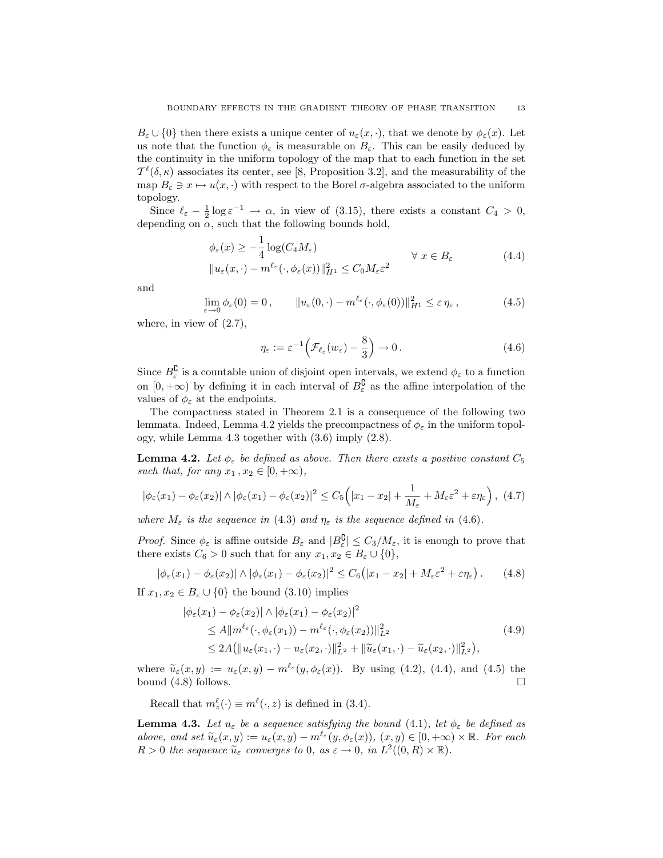$B_\varepsilon \cup \{0\}$  then there exists a unique center of  $u_\varepsilon(x, \cdot)$ , that we denote by  $\phi_\varepsilon(x)$ . Let us note that the function  $\phi_{\varepsilon}$  is measurable on  $B_{\varepsilon}$ . This can be easily deduced by the continuity in the uniform topology of the map that to each function in the set  $\mathcal{T}^{\ell}(\delta,\kappa)$  associates its center, see [8, Proposition 3.2], and the measurability of the map  $B_{\varepsilon} \ni x \mapsto u(x, \cdot)$  with respect to the Borel  $\sigma$ -algebra associated to the uniform topology.

Since  $\ell_{\varepsilon} - \frac{1}{2} \log \varepsilon^{-1} \to \alpha$ , in view of (3.15), there exists a constant  $C_4 > 0$ , depending on  $\alpha$ , such that the following bounds hold,

$$
\phi_{\varepsilon}(x) \ge -\frac{1}{4} \log(C_4 M_{\varepsilon}) \qquad \forall x \in B_{\varepsilon}
$$
\n
$$
\|u_{\varepsilon}(x, \cdot) - m^{\ell_{\varepsilon}}(\cdot, \phi_{\varepsilon}(x))\|_{H^1}^2 \le C_0 M_{\varepsilon} \varepsilon^2 \qquad (4.4)
$$

and

$$
\lim_{\varepsilon \to 0} \phi_{\varepsilon}(0) = 0, \qquad \|u_{\varepsilon}(0, \cdot) - m^{\ell_{\varepsilon}}(\cdot, \phi_{\varepsilon}(0))\|_{H^1}^2 \leq \varepsilon \eta_{\varepsilon}, \tag{4.5}
$$

where, in view of  $(2.7)$ ,

$$
\eta_{\varepsilon} := \varepsilon^{-1} \left( \mathcal{F}_{\ell_{\varepsilon}}(w_{\varepsilon}) - \frac{8}{3} \right) \to 0. \tag{4.6}
$$

Since  $B_{\varepsilon}^{\complement}$  is a countable union of disjoint open intervals, we extend  $\phi_{\varepsilon}$  to a function on  $[0, +\infty)$  by defining it in each interval of  $B_{\varepsilon}^{\complement}$  as the affine interpolation of the values of  $\phi_{\varepsilon}$  at the endpoints.

The compactness stated in Theorem 2.1 is a consequence of the following two lemmata. Indeed, Lemma 4.2 yields the precompactness of  $\phi_{\varepsilon}$  in the uniform topology, while Lemma 4.3 together with (3.6) imply (2.8).

**Lemma 4.2.** Let  $\phi_{\varepsilon}$  be defined as above. Then there exists a positive constant  $C_5$ such that, for any  $x_1, x_2 \in [0, +\infty)$ ,

$$
|\phi_{\varepsilon}(x_1) - \phi_{\varepsilon}(x_2)| \wedge |\phi_{\varepsilon}(x_1) - \phi_{\varepsilon}(x_2)|^2 \leq C_5 \Big( |x_1 - x_2| + \frac{1}{M_{\varepsilon}} + M_{\varepsilon} \varepsilon^2 + \varepsilon \eta_{\varepsilon} \Big), \tag{4.7}
$$

where  $M_{\varepsilon}$  is the sequence in (4.3) and  $\eta_{\varepsilon}$  is the sequence defined in (4.6).

*Proof.* Since  $\phi_{\varepsilon}$  is affine outside  $B_{\varepsilon}$  and  $|B_{\varepsilon}^{\complement}| \leq C_3/M_{\varepsilon}$ , it is enough to prove that there exists  $C_6 > 0$  such that for any  $x_1, x_2 \in B_\varepsilon \cup \{0\},$ 

$$
|\phi_{\varepsilon}(x_1) - \phi_{\varepsilon}(x_2)| \wedge |\phi_{\varepsilon}(x_1) - \phi_{\varepsilon}(x_2)|^2 \leq C_6(|x_1 - x_2| + M_{\varepsilon}\varepsilon^2 + \varepsilon\eta_{\varepsilon}). \tag{4.8}
$$

If  $x_1, x_2 \in B_\varepsilon \cup \{0\}$  the bound  $(3.10)$  implies

$$
\begin{split} |\phi_{\varepsilon}(x_{1}) - \phi_{\varepsilon}(x_{2})| &\wedge |\phi_{\varepsilon}(x_{1}) - \phi_{\varepsilon}(x_{2})|^{2} \\ &\leq A \|m^{\ell_{\varepsilon}}(\cdot, \phi_{\varepsilon}(x_{1})) - m^{\ell_{\varepsilon}}(\cdot, \phi_{\varepsilon}(x_{2}))\|_{L^{2}}^{2} \\ &\leq 2A \big( \|u_{\varepsilon}(x_{1}, \cdot) - u_{\varepsilon}(x_{2}, \cdot)\|_{L^{2}}^{2} + \|\widetilde{u}_{\varepsilon}(x_{1}, \cdot) - \widetilde{u}_{\varepsilon}(x_{2}, \cdot)\|_{L^{2}}^{2} \big), \end{split} \tag{4.9}
$$

where  $\tilde{u}_{\varepsilon}(x, y) := u_{\varepsilon}(x, y) - m^{\ell_{\varepsilon}}(y, \phi_{\varepsilon}(x))$ . By using (4.2), (4.4), and (4.5) the bound (4.8) follows. bound (4.8) follows.

Recall that  $m_z^{\ell}(\cdot) \equiv m^{\ell}(\cdot, z)$  is defined in (3.4).

**Lemma 4.3.** Let  $u_{\varepsilon}$  be a sequence satisfying the bound (4.1), let  $\phi_{\varepsilon}$  be defined as above, and set  $\widetilde{u}_{\varepsilon}(x, y) := u_{\varepsilon}(x, y) - m^{\ell_{\varepsilon}}(y, \phi_{\varepsilon}(x)), (x, y) \in [0, +\infty) \times \mathbb{R}$ . For each  $R > 0$  the sequence  $\tilde{u}_{\varepsilon}$  converges to 0, as  $\varepsilon \to 0$ , in  $L^2((0, R) \times \mathbb{R})$ .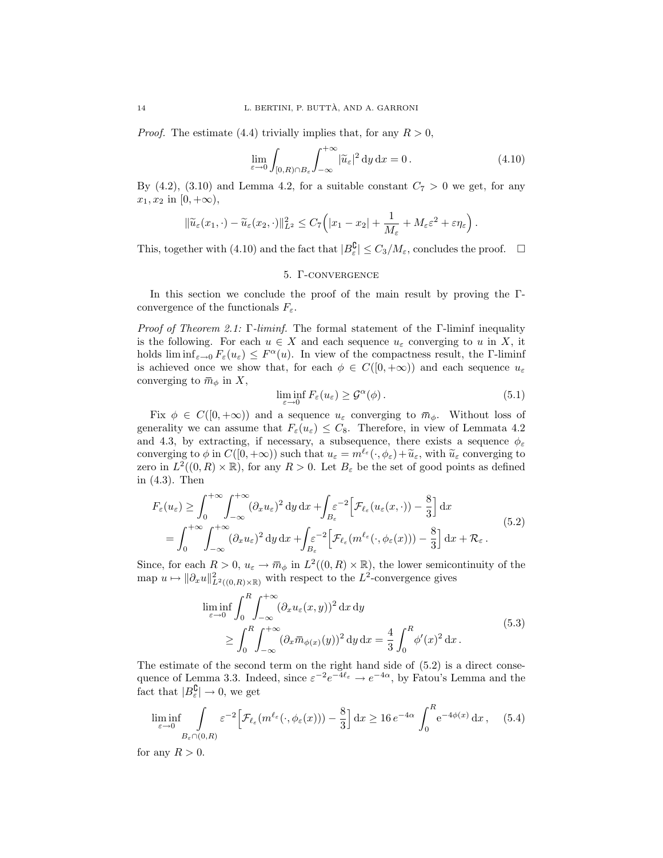*Proof.* The estimate (4.4) trivially implies that, for any  $R > 0$ ,

$$
\lim_{\varepsilon \to 0} \int_{[0,R)\cap B_{\varepsilon}} \int_{-\infty}^{+\infty} |\widetilde{u}_{\varepsilon}|^2 dy dx = 0.
$$
 (4.10)

By (4.2), (3.10) and Lemma 4.2, for a suitable constant  $C_7 > 0$  we get, for any  $x_1, x_2$  in [0, + $\infty$ ),

$$
\|\widetilde{u}_{\varepsilon}(x_1,\cdot)-\widetilde{u}_{\varepsilon}(x_2,\cdot)\|_{L^2}^2 \leq C_7\Big(|x_1-x_2|+\frac{1}{M_{\varepsilon}}+M_{\varepsilon}\varepsilon^2+\varepsilon\eta_{\varepsilon}\Big).
$$

This, together with (4.10) and the fact that  $|B_{\varepsilon}^{\complement}| \leq C_3/M_{\varepsilon}$ , concludes the proof.  $\Box$ 

## 5. Γ-convergence

In this section we conclude the proof of the main result by proving the Γconvergence of the functionals  $F_{\varepsilon}$ .

Proof of Theorem 2.1: Γ-liminf. The formal statement of the Γ-liminf inequality is the following. For each  $u \in X$  and each sequence  $u_{\varepsilon}$  converging to u in X, it holds  $\liminf_{\varepsilon\to 0} F_{\varepsilon}(u_{\varepsilon}) \leq F^{\alpha}(u)$ . In view of the compactness result, the  $\Gamma$ -liminf is achieved once we show that, for each  $\phi \in C([0,+\infty))$  and each sequence  $u_{\varepsilon}$ converging to  $\bar{m}_{\phi}$  in X,

$$
\liminf_{\varepsilon \to 0} F_{\varepsilon}(u_{\varepsilon}) \ge \mathcal{G}^{\alpha}(\phi). \tag{5.1}
$$

Fix  $\phi \in C([0, +\infty))$  and a sequence  $u_{\varepsilon}$  converging to  $\overline{m}_{\phi}$ . Without loss of generality we can assume that  $F_{\varepsilon}(u_{\varepsilon}) \leq C_8$ . Therefore, in view of Lemmata 4.2 and 4.3, by extracting, if necessary, a subsequence, there exists a sequence  $\phi_{\varepsilon}$ converging to  $\phi$  in  $C([0, +\infty))$  such that  $u_{\varepsilon} = m^{\ell_{\varepsilon}}(\cdot, \phi_{\varepsilon}) + \widetilde{u}_{\varepsilon}$ , with  $\widetilde{u}_{\varepsilon}$  converging to zero in  $L^2((0, R) \times \mathbb{R})$ , for any  $R > 0$ . Let  $B_\varepsilon$  be the set of good points as defined in (4.3). Then

$$
F_{\varepsilon}(u_{\varepsilon}) \ge \int_0^{+\infty} \int_{-\infty}^{+\infty} (\partial_x u_{\varepsilon})^2 \, dy \, dx + \int_{B_{\varepsilon}} \varepsilon^{-2} \left[ \mathcal{F}_{\ell_{\varepsilon}}(u_{\varepsilon}(x, \cdot)) - \frac{8}{3} \right] dx
$$
  
= 
$$
\int_0^{+\infty} \int_{-\infty}^{+\infty} (\partial_x u_{\varepsilon})^2 \, dy \, dx + \int_{B_{\varepsilon}} \varepsilon^{-2} \left[ \mathcal{F}_{\ell_{\varepsilon}}(m^{\ell_{\varepsilon}}(\cdot, \phi_{\varepsilon}(x))) - \frac{8}{3} \right] dx + \mathcal{R}_{\varepsilon}.
$$
 (5.2)

Since, for each  $R > 0$ ,  $u_{\varepsilon} \to \bar{m}_{\phi}$  in  $L^2((0, R) \times \mathbb{R})$ , the lower semicontinuity of the map  $u \mapsto ||\partial_x u||^2_{L^2((0,R)\times\mathbb{R})}$  with respect to the  $L^2$ -convergence gives

$$
\liminf_{\varepsilon \to 0} \int_0^R \int_{-\infty}^{+\infty} (\partial_x u_{\varepsilon}(x, y))^2 dx dy
$$
\n
$$
\geq \int_0^R \int_{-\infty}^{+\infty} (\partial_x \overline{m}_{\phi(x)}(y))^2 dy dx = \frac{4}{3} \int_0^R \phi'(x)^2 dx.
$$
\n(5.3)

The estimate of the second term on the right hand side of (5.2) is a direct consequence of Lemma 3.3. Indeed, since  $\varepsilon^{-2}e^{-4\ell_{\varepsilon}} \to e^{-4\alpha}$ , by Fatou's Lemma and the fact that  $|B_{\varepsilon}^{\complement}| \to 0$ , we get

$$
\liminf_{\varepsilon \to 0} \int_{B_{\varepsilon} \cap (0,R)} \varepsilon^{-2} \Big[ \mathcal{F}_{\ell_{\varepsilon}}(m^{\ell_{\varepsilon}}(\cdot, \phi_{\varepsilon}(x))) - \frac{8}{3} \Big] dx \ge 16 \, e^{-4\alpha} \int_0^R e^{-4\phi(x)} dx \,, \quad (5.4)
$$

for any  $R > 0$ .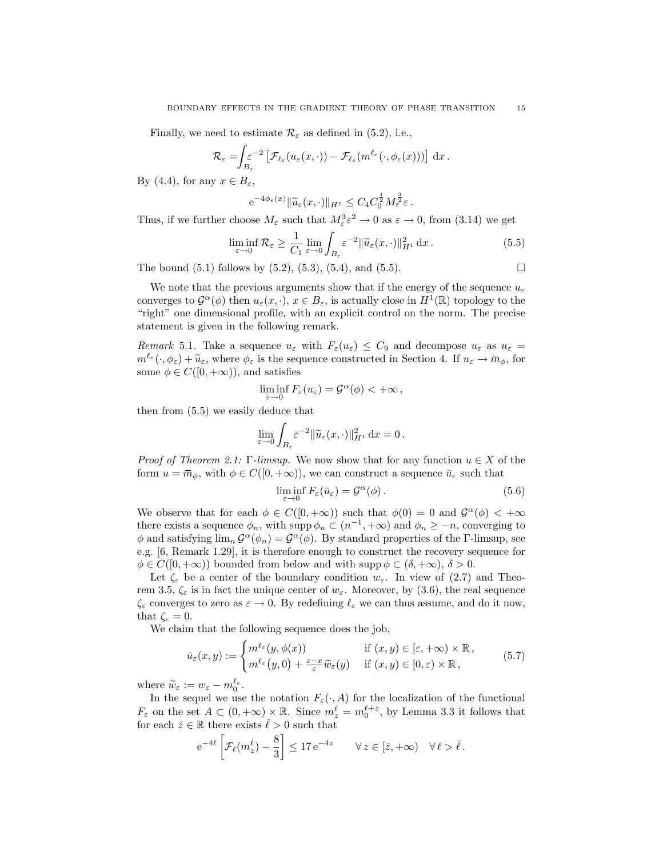Finally, we need to estimate  $\mathcal{R}_{\varepsilon}$  as defined in (5.2), i.e.,

$$
\mathcal{R}_{\varepsilon} = \int_{B_{\varepsilon}} \varepsilon^{-2} \left[ \mathcal{F}_{\ell_{\varepsilon}}(u_{\varepsilon}(x,\cdot)) - \mathcal{F}_{\ell_{\varepsilon}}(m^{\ell_{\varepsilon}}(\cdot,\phi_{\varepsilon}(x))) \right] dx.
$$

By (4.4), for any  $x \in B_{\varepsilon}$ ,

$$
e^{-4\phi_{\varepsilon}(x)}\|\widetilde{u}_{\varepsilon}(x,\cdot)\|_{H^1}\leq C_4C_0^{\frac{1}{2}}M_{\varepsilon}^{\frac{3}{2}}\varepsilon.
$$

Thus, if we further choose  $M_{\varepsilon}$  such that  $M_{\varepsilon}^3 \varepsilon^2 \to 0$  as  $\varepsilon \to 0$ , from (3.14) we get

$$
\liminf_{\varepsilon \to 0} \mathcal{R}_{\varepsilon} \ge \frac{1}{C_1} \lim_{\varepsilon \to 0} \int_{B_{\varepsilon}} \varepsilon^{-2} \|\widetilde{u}_{\varepsilon}(x, \cdot)\|_{H^1}^2 dx.
$$
\n(5.5)

The bound  $(5.1)$  follows by  $(5.2)$ ,  $(5.3)$ ,  $(5.4)$ , and  $(5.5)$ .

We note that the previous arguments show that if the energy of the sequence  $u_{\varepsilon}$ converges to  $\mathcal{G}^{\alpha}(\phi)$  then  $u_{\varepsilon}(x, \cdot), x \in B_{\varepsilon}$ , is actually close in  $H^{1}(\mathbb{R})$  topology to the "right" one dimensional profile, with an explicit control on the norm. The precise statement is given in the following remark.

Remark 5.1. Take a sequence  $u_{\varepsilon}$  with  $F_{\varepsilon}(u_{\varepsilon}) \leq C_9$  and decompose  $u_{\varepsilon}$  as  $u_{\varepsilon} =$  $m^{\ell_{\varepsilon}}(\cdot,\phi_{\varepsilon}) + \widetilde{u}_{\varepsilon}$ , where  $\phi_{\varepsilon}$  is the sequence constructed in Section 4. If  $u_{\varepsilon} \to \overline{m}_{\phi}$ , for some  $\phi \in C([0, +\infty))$ , and satisfies

$$
\liminf_{\varepsilon \to 0} F_{\varepsilon}(u_{\varepsilon}) = \mathcal{G}^{\alpha}(\phi) < +\infty,
$$

then from (5.5) we easily deduce that

$$
\lim_{\varepsilon \to 0} \int_{B_{\varepsilon}} \varepsilon^{-2} \|\widetilde{u}_{\varepsilon}(x,\cdot)\|_{H^1}^2 \, \mathrm{d}x = 0 \, .
$$

*Proof of Theorem 2.1:* Γ-limsup. We now show that for any function  $u \in X$  of the form  $u = \bar{m}_{\phi}$ , with  $\phi \in C([0, +\infty))$ , we can construct a sequence  $\bar{u}_{\varepsilon}$  such that

$$
\liminf_{\varepsilon \to 0} F_{\varepsilon}(\bar{u}_{\varepsilon}) = \mathcal{G}^{\alpha}(\phi).
$$
\n(5.6)

We observe that for each  $\phi \in C([0, +\infty))$  such that  $\phi(0) = 0$  and  $\mathcal{G}^{\alpha}(\phi) < +\infty$ there exists a sequence  $\phi_n$ , with supp  $\phi_n \subset (n^{-1}, +\infty)$  and  $\phi_n \geq -n$ , converging to  $\phi$  and satisfying  $\lim_{n} \mathcal{G}^{\alpha}(\phi_n) = \mathcal{G}^{\alpha}(\phi)$ . By standard properties of the *Γ*-limsup, see e.g. [6, Remark 1.29], it is therefore enough to construct the recovery sequence for  $\phi \in C([0, +\infty))$  bounded from below and with supp  $\phi \subset (\delta, +\infty), \delta > 0$ .

Let  $\zeta_{\varepsilon}$  be a center of the boundary condition  $w_{\varepsilon}$ . In view of (2.7) and Theorem 3.5,  $\zeta_{\varepsilon}$  is in fact the unique center of  $w_{\varepsilon}$ . Moreover, by (3.6), the real sequence  $\zeta_{\varepsilon}$  converges to zero as  $\varepsilon \to 0$ . By redefining  $\ell_{\varepsilon}$  we can thus assume, and do it now, that  $\zeta_{\varepsilon} = 0$ .

We claim that the following sequence does the job,

$$
\bar{u}_{\varepsilon}(x,y) := \begin{cases}\n m^{\ell_{\varepsilon}}(y,\phi(x)) & \text{if } (x,y) \in [\varepsilon,+\infty) \times \mathbb{R} \,, \\
 m^{\ell_{\varepsilon}}(y,0) + \frac{\varepsilon - x}{\varepsilon} \widetilde{w}_{\varepsilon}(y) & \text{if } (x,y) \in [0,\varepsilon) \times \mathbb{R} \,,\n\end{cases} (5.7)
$$

where  $\widetilde{w}_{\varepsilon} := w_{\varepsilon} - m_0^{\ell_{\varepsilon}}$ .<br>In the sequel we use

In the sequel we use the notation  $F_{\varepsilon}(\cdot, A)$  for the localization of the functional  $F_{\varepsilon}$  on the set  $A \subset (0, +\infty) \times \mathbb{R}$ . Since  $m_z^{\ell} = m_0^{\ell+z}$ , by Lemma 3.3 it follows that for each  $\bar{z} \in \mathbb{R}$  there exists  $\bar{\ell} > 0$  such that

$$
e^{-4\ell} \left[ \mathcal{F}_{\ell}(m_z^{\ell}) - \frac{8}{3} \right] \le 17 e^{-4z} \quad \forall z \in [\bar{z}, +\infty) \quad \forall \ell > \bar{\ell}.
$$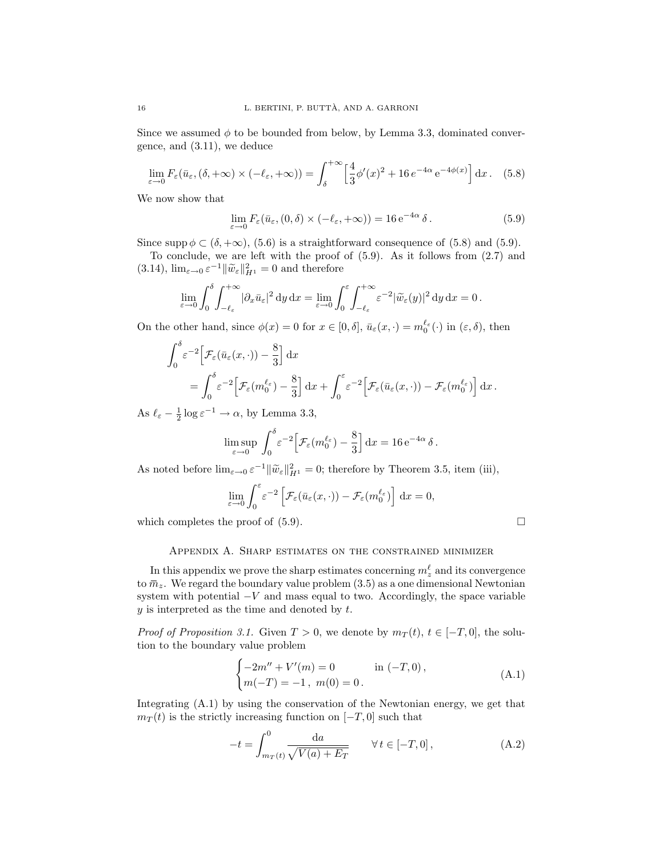Since we assumed  $\phi$  to be bounded from below, by Lemma 3.3, dominated convergence, and (3.11), we deduce

$$
\lim_{\varepsilon \to 0} F_{\varepsilon}(\bar{u}_{\varepsilon}, (\delta, +\infty) \times (-\ell_{\varepsilon}, +\infty)) = \int_{\delta}^{+\infty} \left[ \frac{4}{3} \phi'(x)^2 + 16 e^{-4\alpha} e^{-4\phi(x)} \right] dx. \quad (5.8)
$$

We now show that

$$
\lim_{\varepsilon \to 0} F_{\varepsilon}(\bar{u}_{\varepsilon}, (0, \delta) \times (-\ell_{\varepsilon}, +\infty)) = 16 e^{-4\alpha} \delta.
$$
 (5.9)

Since supp  $\phi \subset (\delta, +\infty)$ , (5.6) is a straightforward consequence of (5.8) and (5.9).

To conclude, we are left with the proof of  $(5.9)$ . As it follows from  $(2.7)$  and (3.14),  $\lim_{\varepsilon \to 0} \varepsilon^{-1} \|\widetilde{w}_{\varepsilon}\|_{H^1}^2 = 0$  and therefore

$$
\lim_{\varepsilon \to 0} \int_0^\delta \int_{-\ell_\varepsilon}^{+\infty} |\partial_x \bar{u}_\varepsilon|^2 dy dx = \lim_{\varepsilon \to 0} \int_0^\varepsilon \int_{-\ell_\varepsilon}^{+\infty} \varepsilon^{-2} |\widetilde{w}_\varepsilon(y)|^2 dy dx = 0.
$$

On the other hand, since  $\phi(x) = 0$  for  $x \in [0, \delta], \bar{u}_{\varepsilon}(x, \cdot) = m_0^{\ell_{\varepsilon}}(\cdot)$  in  $(\varepsilon, \delta)$ , then

$$
\int_0^{\delta} \varepsilon^{-2} \left[ \mathcal{F}_{\varepsilon}(\bar{u}_{\varepsilon}(x, \cdot)) - \frac{8}{3} \right] dx
$$
  
= 
$$
\int_0^{\delta} \varepsilon^{-2} \left[ \mathcal{F}_{\varepsilon}(m_0^{\ell_{\varepsilon}}) - \frac{8}{3} \right] dx + \int_0^{\varepsilon} \varepsilon^{-2} \left[ \mathcal{F}_{\varepsilon}(\bar{u}_{\varepsilon}(x, \cdot)) - \mathcal{F}_{\varepsilon}(m_0^{\ell_{\varepsilon}}) \right] dx.
$$

As  $\ell_{\varepsilon} - \frac{1}{2} \log \varepsilon^{-1} \to \alpha$ , by Lemma 3.3,

$$
\limsup_{\varepsilon \to 0} \int_0^{\delta} \varepsilon^{-2} \Big[ \mathcal{F}_\varepsilon(m_0^{\ell_\varepsilon}) - \frac{8}{3} \Big] dx = 16 e^{-4\alpha} \delta.
$$

As noted before  $\lim_{\varepsilon\to 0} \varepsilon^{-1} \|\widetilde{w}_{\varepsilon}\|_{H^1}^2 = 0$ ; therefore by Theorem 3.5, item (iii),

$$
\lim_{\varepsilon \to 0} \int_0^{\varepsilon} \varepsilon^{-2} \left[ \mathcal{F}_\varepsilon(\bar{u}_\varepsilon(x,\cdot)) - \mathcal{F}_\varepsilon(m_0^{\ell_\varepsilon}) \right] dx = 0,
$$

which completes the proof of  $(5.9)$ .

Appendix A. Sharp estimates on the constrained minimizer

In this appendix we prove the sharp estimates concerning  $m_z^{\ell}$  and its convergence to  $\bar{m}_z$ . We regard the boundary value problem (3.5) as a one dimensional Newtonian system with potential  $-V$  and mass equal to two. Accordingly, the space variable  $y$  is interpreted as the time and denoted by  $t$ .

*Proof of Proposition 3.1.* Given  $T > 0$ , we denote by  $m_T(t)$ ,  $t \in [-T, 0]$ , the solution to the boundary value problem

$$
\begin{cases}\n-2m'' + V'(m) = 0 & \text{in } (-T, 0), \\
m(-T) = -1, m(0) = 0.\n\end{cases}
$$
\n(A.1)

Integrating (A.1) by using the conservation of the Newtonian energy, we get that  $m_T(t)$  is the strictly increasing function on  $[-T, 0]$  such that

$$
-t = \int_{m_T(t)}^0 \frac{\mathrm{d}a}{\sqrt{V(a) + E_T}} \qquad \forall \, t \in [-T, 0], \tag{A.2}
$$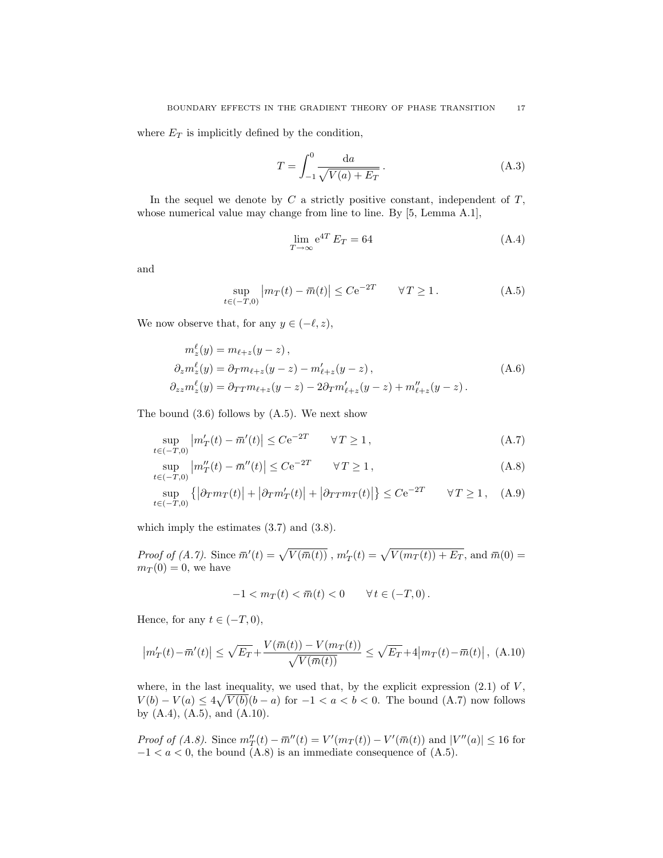where  $E_T$  is implicitly defined by the condition,

$$
T = \int_{-1}^{0} \frac{\mathrm{d}a}{\sqrt{V(a) + E_T}} \,. \tag{A.3}
$$

In the sequel we denote by  $C$  a strictly positive constant, independent of  $T$ , whose numerical value may change from line to line. By [5, Lemma A.1],

$$
\lim_{T \to \infty} e^{4T} E_T = 64 \tag{A.4}
$$

and

$$
\sup_{t \in (-T,0)} |m_T(t) - \overline{m}(t)| \le C e^{-2T} \qquad \forall T \ge 1.
$$
\n(A.5)

We now observe that, for any  $y \in (-\ell, z)$ ,

$$
m_{z}^{\ell}(y) = m_{\ell+z}(y-z),
$$
  
\n
$$
\partial_{z} m_{z}^{\ell}(y) = \partial_{T} m_{\ell+z}(y-z) - m_{\ell+z}^{\prime}(y-z),
$$
  
\n
$$
\partial_{zz} m_{z}^{\ell}(y) = \partial_{T} T m_{\ell+z}(y-z) - 2\partial_{T} m_{\ell+z}^{\prime}(y-z) + m_{\ell+z}^{\prime\prime}(y-z).
$$
\n(A.6)

The bound  $(3.6)$  follows by  $(A.5)$ . We next show

$$
\sup_{t \in (-T,0)} \left| m'_T(t) - \overline{m}'(t) \right| \le C e^{-2T} \qquad \forall T \ge 1,
$$
\n(A.7)

$$
\sup_{t \in (-T,0)} \left| m_T''(t) - \overline{m}''(t) \right| \le C e^{-2T} \qquad \forall T \ge 1,
$$
\n(A.8)

$$
\sup_{t \in (-T,0)} \left\{ \left| \partial_T m_T(t) \right| + \left| \partial_T m'_T(t) \right| + \left| \partial_{TT} m_T(t) \right| \right\} \le C e^{-2T} \qquad \forall T \ge 1, \quad \text{(A.9)}
$$

which imply the estimates (3.7) and (3.8).

*Proof of (A.7).* Since  $\overline{m}'(t) = \sqrt{V(\overline{m}(t))}$ ,  $m'_T(t) = \sqrt{V(m_T(t)) + E_T}$ , and  $\overline{m}(0) =$  $m_T(0) = 0$ , we have

$$
-1 < m_T(t) < \overline{m}(t) < 0 \qquad \forall \, t \in (-T, 0) \, .
$$

Hence, for any  $t \in (-T, 0)$ ,

$$
\left| m_T'(t) - \overline{m}'(t) \right| \le \sqrt{E_T} + \frac{V(\overline{m}(t)) - V(m_T(t))}{\sqrt{V(\overline{m}(t))}} \le \sqrt{E_T} + 4 \left| m_T(t) - \overline{m}(t) \right|, \tag{A.10}
$$

where, in the last inequality, we used that, by the explicit expression  $(2.1)$  of  $V$ ,  $V(b) - V(a) \leq 4\sqrt{V(b)}(b-a)$  for  $-1 < a < b < 0$ . The bound (A.7) now follows by (A.4), (A.5), and (A.10).

*Proof of (A.8).* Since  $m_T''(t) - \bar{m}''(t) = V'(m_T(t)) - V'(\bar{m}(t))$  and  $|V''(a)| \le 16$  for  $-1 < a < 0$ , the bound (A.8) is an immediate consequence of (A.5).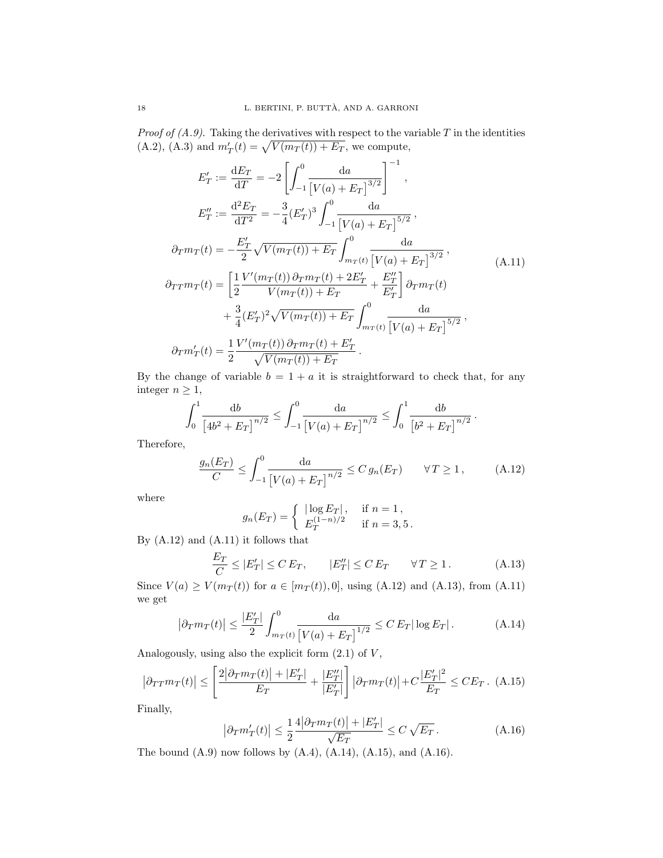*Proof of (A.9).* Taking the derivatives with respect to the variable  $T$  in the identities (A.2), (A.3) and  $m'_T(t) = \sqrt{V(m_T(t)) + E_T}$ , we compute,

$$
E'_{T} := \frac{dE_{T}}{dT} = -2 \left[ \int_{-1}^{0} \frac{da}{[V(a) + E_{T}]}^{3/2} \right]^{-1},
$$
  
\n
$$
E''_{T} := \frac{d^{2}E_{T}}{dT^{2}} = -\frac{3}{4} (E'_{T})^{3} \int_{-1}^{0} \frac{da}{[V(a) + E_{T}]}^{5/2},
$$
  
\n
$$
\partial_{T}m_{T}(t) = -\frac{E'_{T}}{2} \sqrt{V(m_{T}(t)) + E_{T}} \int_{m_{T}(t)}^{0} \frac{da}{[V(a) + E_{T}]}^{3/2},
$$
  
\n
$$
\partial_{T}m_{T}(t) = \left[ \frac{1}{2} \frac{V'(m_{T}(t)) \partial_{T}m_{T}(t) + 2E'_{T}}{V(m_{T}(t)) + E_{T}} + \frac{E''_{T}}{E'_{T}} \right] \partial_{T}m_{T}(t) + \frac{3}{4} (E'_{T})^{2} \sqrt{V(m_{T}(t)) + E_{T}} \int_{m_{T}(t)}^{0} \frac{da}{[V(a) + E_{T}]}^{5/2},
$$
  
\n
$$
\partial_{T}m'_{T}(t) = \frac{1}{2} \frac{V'(m_{T}(t)) \partial_{T}m_{T}(t) + E'_{T}}{\sqrt{V(m_{T}(t)) + E_{T}}}.
$$

By the change of variable  $b = 1 + a$  it is straightforward to check that, for any integer  $n \geq 1$ ,

$$
\int_0^1 \frac{\mathrm{d}b}{\left[4b^2 + E_T\right]^{n/2}} \le \int_{-1}^0 \frac{\mathrm{d}a}{\left[V(a) + E_T\right]^{n/2}} \le \int_0^1 \frac{\mathrm{d}b}{\left[b^2 + E_T\right]^{n/2}} \, .
$$

Therefore,

$$
\frac{g_n(E_T)}{C} \le \int_{-1}^0 \frac{\mathrm{d}a}{\left[V(a) + E_T\right]^{n/2}} \le C g_n(E_T) \qquad \forall T \ge 1, \tag{A.12}
$$

where

$$
g_n(E_T) = \begin{cases} |\log E_T|, & \text{if } n = 1, \\ E_T^{(1-n)/2} & \text{if } n = 3, 5. \end{cases}
$$

By  $(A.12)$  and  $(A.11)$  it follows that

$$
\frac{E_T}{C} \le |E'_T| \le C E_T, \qquad |E''_T| \le C E_T \qquad \forall T \ge 1. \tag{A.13}
$$

Since  $V(a) \ge V(m_T(t))$  for  $a \in [m_T(t)), 0]$ , using (A.12) and (A.13), from (A.11) we get

$$
\left|\partial_T m_T(t)\right| \le \frac{|E'_T|}{2} \int_{m_T(t)}^0 \frac{\mathrm{d}a}{\left[V(a) + E_T\right]^{1/2}} \le C \, E_T |\log E_T| \,. \tag{A.14}
$$

Analogously, using also the explicit form  $(2.1)$  of  $V$ ,

$$
\left|\partial_{TT}m_{T}(t)\right| \leq \left[\frac{2\left|\partial_{T}m_{T}(t)\right| + |E'_{T}|}{E_{T}} + \frac{|E''_{T}|}{|E'_{T}|}\right] \left|\partial_{T}m_{T}(t)\right| + C\frac{|E'_{T}|^{2}}{E_{T}} \leq CE_{T}.
$$
 (A.15)

Finally,

$$
\left|\partial_T m'_T(t)\right| \le \frac{1}{2} \frac{4\left|\partial_T m_T(t)\right| + |E'_T|}{\sqrt{E_T}} \le C\sqrt{E_T} \,. \tag{A.16}
$$

The bound  $(A.9)$  now follows by  $(A.4)$ ,  $(A.14)$ ,  $(A.15)$ , and  $(A.16)$ .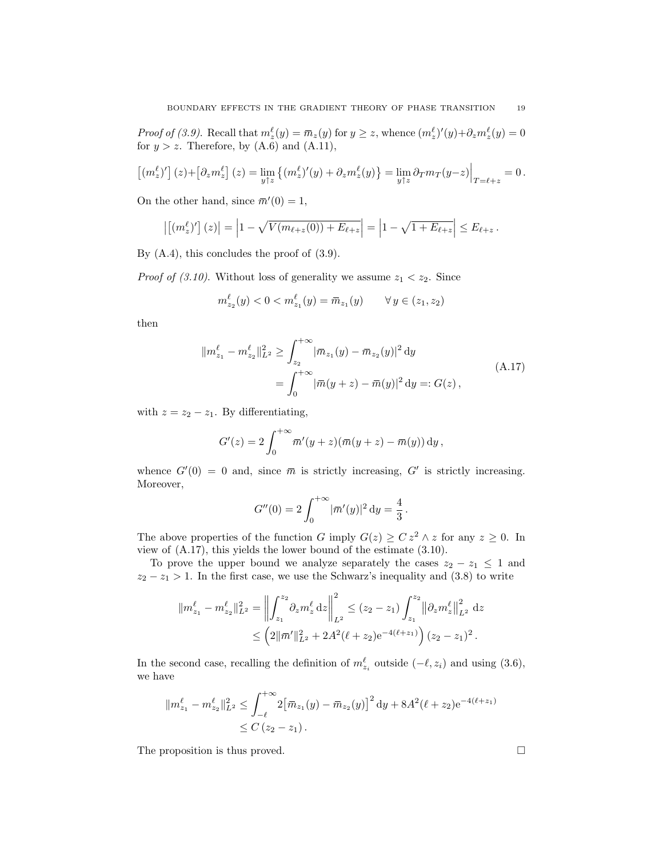*Proof of (3.9).* Recall that  $m_z^{\ell}(y) = \overline{m}_z(y)$  for  $y \ge z$ , whence  $(m_z^{\ell})'(y) + \partial_z m_z^{\ell}(y) = 0$ for  $y > z$ . Therefore, by  $(A.6)$  and  $(A.11)$ ,

$$
\left[ (m_z^{\ell})' \right](z) + \left[ \partial_z m_z^{\ell} \right](z) = \lim_{y \uparrow z} \left\{ (m_z^{\ell})'(y) + \partial_z m_z^{\ell}(y) \right\} = \lim_{y \uparrow z} \partial_T m_T(y-z) \Big|_{T=\ell+z} = 0.
$$

On the other hand, since  $\bar{m}'(0) = 1$ ,

$$
\left| \left[ \left( m_z^{\ell} \right)' \right] (z) \right| = \left| 1 - \sqrt{V(m_{\ell+z}(0)) + E_{\ell+z}} \right| = \left| 1 - \sqrt{1 + E_{\ell+z}} \right| \le E_{\ell+z}.
$$

By (A.4), this concludes the proof of (3.9).

*Proof of (3.10)*. Without loss of generality we assume  $z_1 < z_2$ . Since

$$
m_{z_2}^{\ell}(y) < 0 < m_{z_1}^{\ell}(y) = \overline{m}_{z_1}(y) \qquad \forall y \in (z_1, z_2)
$$

then

$$
\begin{aligned} |m_{z_1}^{\ell} - m_{z_2}^{\ell}||_{L^2}^2 &\geq \int_{z_2}^{+\infty} |\bar{m}_{z_1}(y) - \bar{m}_{z_2}(y)|^2 \, \mathrm{d}y \\ &= \int_0^{+\infty} |\bar{m}(y+z) - \bar{m}(y)|^2 \, \mathrm{d}y =: G(z) \,, \end{aligned} \tag{A.17}
$$

with  $z = z_2 - z_1$ . By differentiating,

 $\overline{\phantom{a}}$ 

$$
G'(z) = 2 \int_0^{+\infty} \overline{m}'(y+z) (\overline{m}(y+z) - \overline{m}(y)) dy,
$$

whence  $G'(0) = 0$  and, since  $\overline{m}$  is strictly increasing,  $G'$  is strictly increasing. Moreover,

$$
G''(0) = 2 \int_0^{+\infty} |\overline{m}'(y)|^2 dy = \frac{4}{3}.
$$

The above properties of the function G imply  $G(z) \geq C z^2 \wedge z$  for any  $z \geq 0$ . In view of (A.17), this yields the lower bound of the estimate (3.10).

To prove the upper bound we analyze separately the cases  $z_2 - z_1 \leq 1$  and  $z_2 - z_1 > 1$ . In the first case, we use the Schwarz's inequality and (3.8) to write

$$
\|m_{z_1}^{\ell} - m_{z_2}^{\ell}\|_{L^2}^2 = \left\| \int_{z_1}^{z_2} \partial_z m_z^{\ell} \, dz \right\|_{L^2}^2 \le (z_2 - z_1) \int_{z_1}^{z_2} \left\| \partial_z m_z^{\ell} \right\|_{L^2}^2 \, dz
$$
  

$$
\le \left( 2\| \overline{m}' \|^2_{L^2} + 2A^2(\ell + z_2) e^{-4(\ell + z_1)} \right) (z_2 - z_1)^2.
$$

In the second case, recalling the definition of  $m_{z_i}^{\ell}$  outside  $(-\ell, z_i)$  and using (3.6), we have

$$
||m_{z_1}^{\ell} - m_{z_2}^{\ell}||_{L^2}^2 \le \int_{-\ell}^{+\infty} 2\big[\bar{m}_{z_1}(y) - \bar{m}_{z_2}(y)\big]^2 dy + 8A^2(\ell + z_2)e^{-4(\ell + z_1)} \le C(z_2 - z_1).
$$

The proposition is thus proved.  $\square$